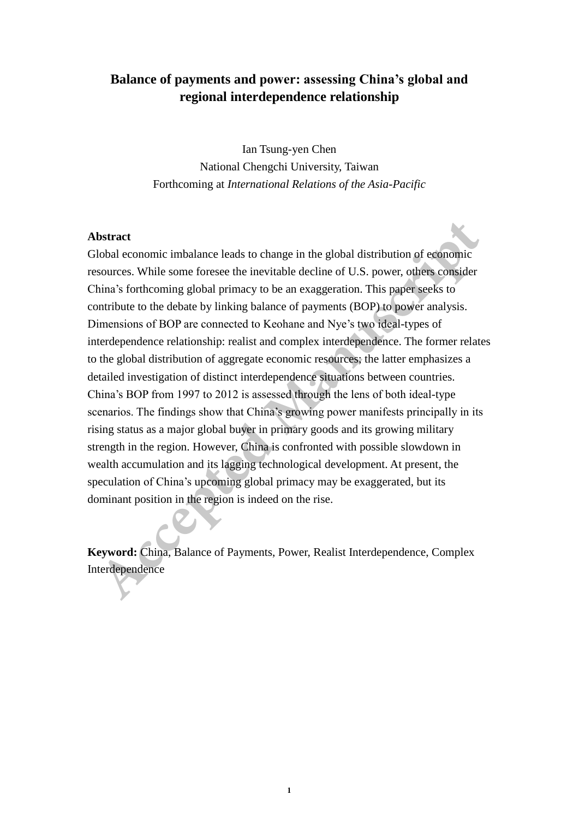## **Balance of payments and power: assessing China's global and regional interdependence relationship**

Ian Tsung-yen Chen National Chengchi University, Taiwan Forthcoming at *International Relations of the Asia-Pacific*

#### **Abstract**

**Lan** Transports Chem<br> **Acceptive Chemical** Chempedia University, Thiwan<br> **Acceptive Continentation** Chempedia University, Thiwan<br> **Acceptive Continue Content Content Content Content Content Content Content Chemical Chemic** Global economic imbalance leads to change in the global distribution of economic resources. While some foresee the inevitable decline of U.S. power, others consider China's forthcoming global primacy to be an exaggeration. This paper seeks to contribute to the debate by linking balance of payments (BOP) to power analysis. Dimensions of BOP are connected to Keohane and Nye's two ideal-types of interdependence relationship: realist and complex interdependence. The former relates to the global distribution of aggregate economic resources; the latter emphasizes a detailed investigation of distinct interdependence situations between countries. China's BOP from 1997 to 2012 is assessed through the lens of both ideal-type scenarios. The findings show that China's growing power manifests principally in its rising status as a major global buyer in primary goods and its growing military strength in the region. However, China is confronted with possible slowdown in wealth accumulation and its lagging technological development. At present, the speculation of China's upcoming global primacy may be exaggerated, but its dominant position in the region is indeed on the rise.

**Keyword:** China, Balance of Payments, Power, Realist Interdependence, Complex Interdependence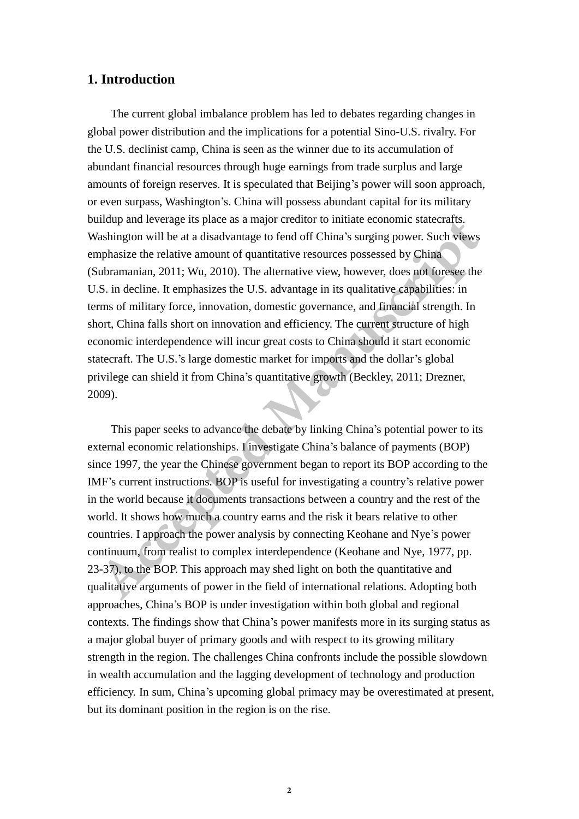## **1. Introduction**

The current global imbalance problem has led to debates regarding changes in global power distribution and the implications for a posteriula Simo-U.S. really, For the U.S. declinist current, China is seen as the water due The current global imbalance problem has led to debates regarding changes in global power distribution and the implications for a potential Sino-U.S. rivalry. For the U.S. declinist camp, China is seen as the winner due to its accumulation of abundant financial resources through huge earnings from trade surplus and large amounts of foreign reserves. It is speculated that Beijing's power will soon approach, or even surpass, Washington's. China will possess abundant capital for its military buildup and leverage its place as a major creditor to initiate economic statecrafts. Washington will be at a disadvantage to fend off China's surging power. Such views emphasize the relative amount of quantitative resources possessed by China (Subramanian, 2011; Wu, 2010). The alternative view, however, does not foresee the U.S. in decline. It emphasizes the U.S. advantage in its qualitative capabilities: in terms of military force, innovation, domestic governance, and financial strength. In short, China falls short on innovation and efficiency. The current structure of high economic interdependence will incur great costs to China should it start economic statecraft. The U.S.'s large domestic market for imports and the dollar's global privilege can shield it from China's quantitative growth (Beckley, 2011; Drezner, 2009).

This paper seeks to advance the debate by linking China's potential power to its external economic relationships. I investigate China's balance of payments (BOP) since 1997, the year the Chinese government began to report its BOP according to the IMF's current instructions. BOP is useful for investigating a country's relative power in the world because it documents transactions between a country and the rest of the world. It shows how much a country earns and the risk it bears relative to other countries. I approach the power analysis by connecting Keohane and Nye's power continuum, from realist to complex interdependence (Keohane and Nye, 1977, pp. 23-37), to the BOP. This approach may shed light on both the quantitative and qualitative arguments of power in the field of international relations. Adopting both approaches, China's BOP is under investigation within both global and regional contexts. The findings show that China's power manifests more in its surging status as a major global buyer of primary goods and with respect to its growing military strength in the region. The challenges China confronts include the possible slowdown in wealth accumulation and the lagging development of technology and production efficiency. In sum, China's upcoming global primacy may be overestimated at present, but its dominant position in the region is on the rise.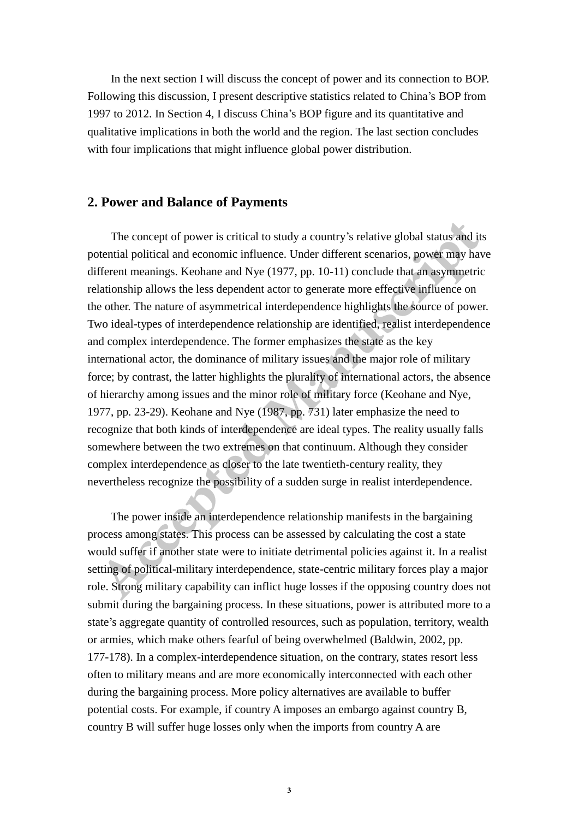In the next section I will discuss the concept of power and its connection to BOP. Following this discussion, I present descriptive statistics related to China's BOP from 1997 to 2012. In Section 4, I discuss China's BOP figure and its quantitative and qualitative implications in both the world and the region. The last section concludes with four implications that might influence global power distribution.

## **2. Power and Balance of Payments**

1997 to 2012. In Section 4, I discuss China's BOP figure and its quantitative and<br>qualitative implications in both the world and the region. The last section concludes<br>with four implications that might influence global pow The concept of power is critical to study a country's relative global status and its potential political and economic influence. Under different scenarios, power may have different meanings. Keohane and Nye (1977, pp. 10-11) conclude that an asymmetric relationship allows the less dependent actor to generate more effective influence on the other. The nature of asymmetrical interdependence highlights the source of power. Two ideal-types of interdependence relationship are identified, realist interdependence and complex interdependence. The former emphasizes the state as the key international actor, the dominance of military issues and the major role of military force; by contrast, the latter highlights the plurality of international actors, the absence of hierarchy among issues and the minor role of military force (Keohane and Nye, 1977, pp. 23-29). Keohane and Nye (1987, pp. 731) later emphasize the need to recognize that both kinds of interdependence are ideal types. The reality usually falls somewhere between the two extremes on that continuum. Although they consider complex interdependence as closer to the late twentieth-century reality, they nevertheless recognize the possibility of a sudden surge in realist interdependence.

The power inside an interdependence relationship manifests in the bargaining process among states. This process can be assessed by calculating the cost a state would suffer if another state were to initiate detrimental policies against it. In a realist setting of political-military interdependence, state-centric military forces play a major role. Strong military capability can inflict huge losses if the opposing country does not submit during the bargaining process. In these situations, power is attributed more to a state's aggregate quantity of controlled resources, such as population, territory, wealth or armies, which make others fearful of being overwhelmed (Baldwin, 2002, pp. 177-178). In a complex-interdependence situation, on the contrary, states resort less often to military means and are more economically interconnected with each other during the bargaining process. More policy alternatives are available to buffer potential costs. For example, if country A imposes an embargo against country B, country B will suffer huge losses only when the imports from country A are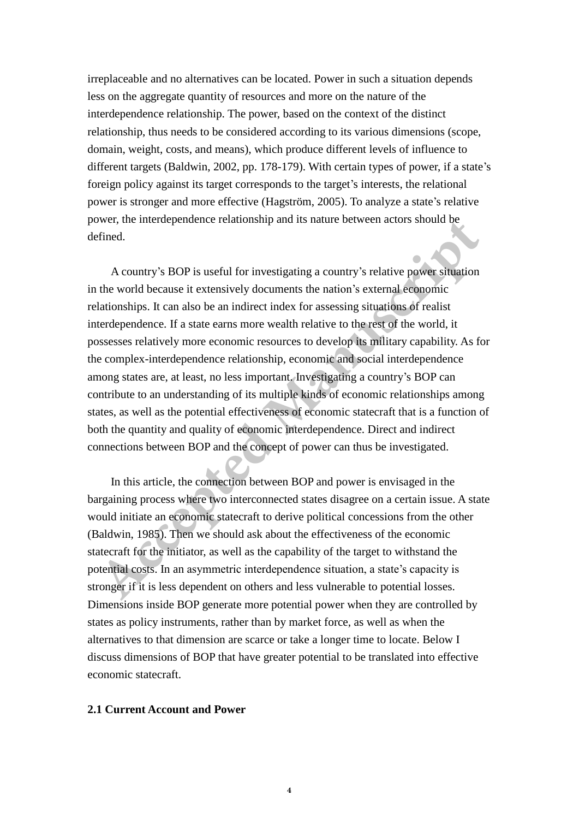irreplaceable and no alternatives can be located. Power in such a situation depends less on the aggregate quantity of resources and more on the nature of the interdependence relationship. The power, based on the context of the distinct relationship, thus needs to be considered according to its various dimensions (scope, domain, weight, costs, and means), which produce different levels of influence to different targets (Baldwin, 2002, pp. 178-179). With certain types of power, if a state's foreign policy against its target corresponds to the target's interests, the relational power is stronger and more effective (Hagström, 2005). To analyze a state's relative power, the interdependence relationship and its nature between actors should be defined.

interdependence relationship. The power, based on the context of the distinct<br>
relationship, thus needs to be considered according to its various dimensions, (scorpe,<br>
domain, weight, ensis, and means), which produce diffe A country's BOP is useful for investigating a country's relative power situation in the world because it extensively documents the nation's external economic relationships. It can also be an indirect index for assessing situations of realist interdependence. If a state earns more wealth relative to the rest of the world, it possesses relatively more economic resources to develop its military capability. As for the complex-interdependence relationship, economic and social interdependence among states are, at least, no less important. Investigating a country's BOP can contribute to an understanding of its multiple kinds of economic relationships among states, as well as the potential effectiveness of economic statecraft that is a function of both the quantity and quality of economic interdependence. Direct and indirect connections between BOP and the concept of power can thus be investigated.

In this article, the connection between BOP and power is envisaged in the bargaining process where two interconnected states disagree on a certain issue. A state would initiate an economic statecraft to derive political concessions from the other (Baldwin, 1985). Then we should ask about the effectiveness of the economic statecraft for the initiator, as well as the capability of the target to withstand the potential costs. In an asymmetric interdependence situation, a state's capacity is stronger if it is less dependent on others and less vulnerable to potential losses. Dimensions inside BOP generate more potential power when they are controlled by states as policy instruments, rather than by market force, as well as when the alternatives to that dimension are scarce or take a longer time to locate. Below I discuss dimensions of BOP that have greater potential to be translated into effective economic statecraft.

#### **2.1 Current Account and Power**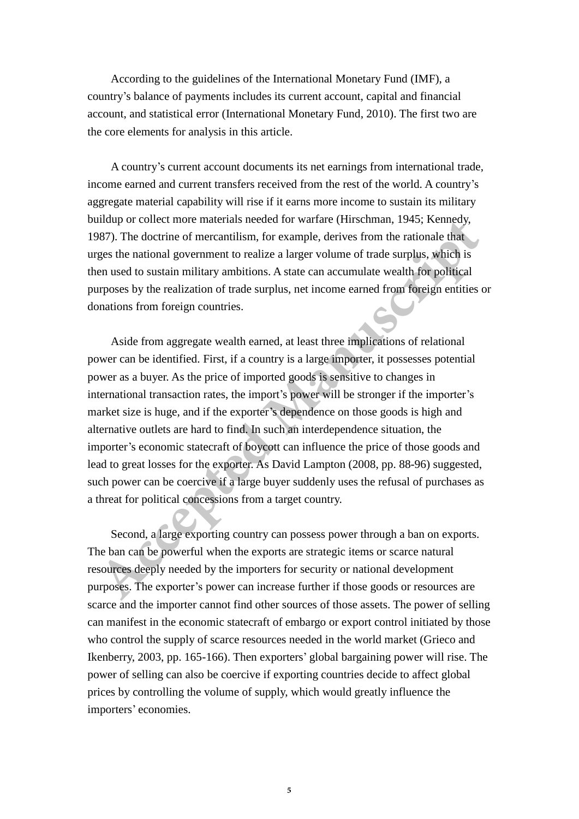According to the guidelines of the International Monetary Fund (IMF), a country's balance of payments includes its current account, capital and financial account, and statistical error (International Monetary Fund, 2010). The first two are the core elements for analysis in this article.

A country's current account documents its net earnings from international trade, income earned and current transfers received from the rest of the world. A country's aggregate material capability will rise if it earns more income to sustain its military buildup or collect more materials needed for warfare (Hirschman, 1945; Kennedy, 1987). The doctrine of mercantilism, for example, derives from the rationale that urges the national government to realize a larger volume of trade surplus, which is then used to sustain military ambitions. A state can accumulate wealth for political purposes by the realization of trade surplus, net income earned from foreign entities or donations from foreign countries.

account, and satistical error (International Monetary Fund, 2010). The first wo are<br>the core elements for analysis in this article.<br>A country's current accounters is not cannings from international rade,<br>hocome carred and Aside from aggregate wealth earned, at least three implications of relational power can be identified. First, if a country is a large importer, it possesses potential power as a buyer. As the price of imported goods is sensitive to changes in international transaction rates, the import's power will be stronger if the importer's market size is huge, and if the exporter's dependence on those goods is high and alternative outlets are hard to find. In such an interdependence situation, the importer's economic statecraft of boycott can influence the price of those goods and lead to great losses for the exporter. As David Lampton (2008, pp. 88-96) suggested, such power can be coercive if a large buyer suddenly uses the refusal of purchases as a threat for political concessions from a target country.

Second, a large exporting country can possess power through a ban on exports. The ban can be powerful when the exports are strategic items or scarce natural resources deeply needed by the importers for security or national development purposes. The exporter's power can increase further if those goods or resources are scarce and the importer cannot find other sources of those assets. The power of selling can manifest in the economic statecraft of embargo or export control initiated by those who control the supply of scarce resources needed in the world market (Grieco and Ikenberry, 2003, pp. 165-166). Then exporters' global bargaining power will rise. The power of selling can also be coercive if exporting countries decide to affect global prices by controlling the volume of supply, which would greatly influence the importers' economies.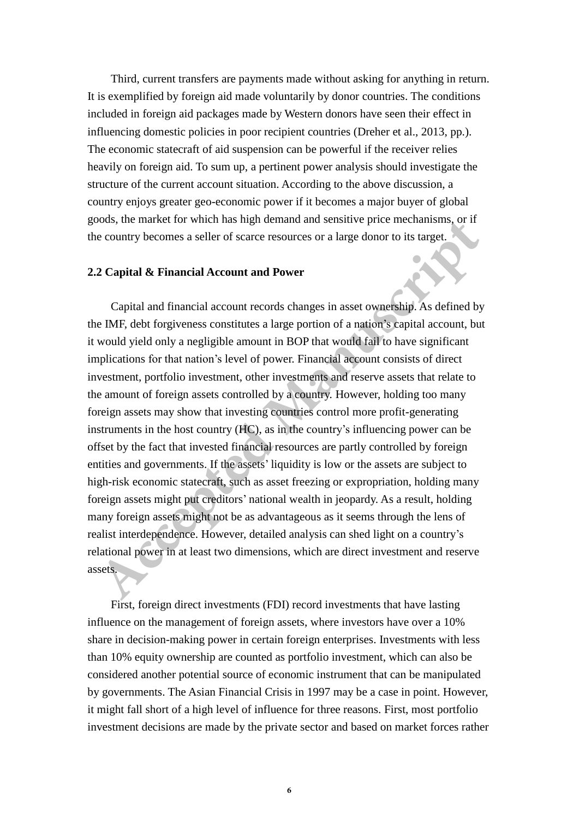Third, current transfers are payments made without asking for anything in return. It is exemplified by foreign aid made voluntarily by donor countries. The conditions included in foreign aid packages made by Western donors have seen their effect in influencing domestic policies in poor recipient countries (Dreher et al., 2013, pp.). The economic statecraft of aid suspension can be powerful if the receiver relies heavily on foreign aid. To sum up, a pertinent power analysis should investigate the structure of the current account situation. According to the above discussion, a country enjoys greater geo-economic power if it becomes a major buyer of global goods, the market for which has high demand and sensitive price mechanisms, or if the country becomes a seller of scarce resources or a large donor to its target.

#### **2.2 Capital & Financial Account and Power**

included in foreign aid packages made by Western donors have seen their effect in<br>inflancaing domestic policies in poor recipient conturies (Orelare et al., 2013, pp.).<br>The extromine states policies in poor recipient contu Capital and financial account records changes in asset ownership. As defined by the IMF, debt forgiveness constitutes a large portion of a nation's capital account, but it would yield only a negligible amount in BOP that would fail to have significant implications for that nation's level of power. Financial account consists of direct investment, portfolio investment, other investments and reserve assets that relate to the amount of foreign assets controlled by a country. However, holding too many foreign assets may show that investing countries control more profit-generating instruments in the host country (HC), as in the country's influencing power can be offset by the fact that invested financial resources are partly controlled by foreign entities and governments. If the assets' liquidity is low or the assets are subject to high-risk economic statecraft, such as asset freezing or expropriation, holding many foreign assets might put creditors' national wealth in jeopardy. As a result, holding many foreign assets might not be as advantageous as it seems through the lens of realist interdependence. However, detailed analysis can shed light on a country's relational power in at least two dimensions, which are direct investment and reserve assets.

First, foreign direct investments (FDI) record investments that have lasting influence on the management of foreign assets, where investors have over a 10% share in decision-making power in certain foreign enterprises. Investments with less than 10% equity ownership are counted as portfolio investment, which can also be considered another potential source of economic instrument that can be manipulated by governments. The Asian Financial Crisis in 1997 may be a case in point. However, it might fall short of a high level of influence for three reasons. First, most portfolio investment decisions are made by the private sector and based on market forces rather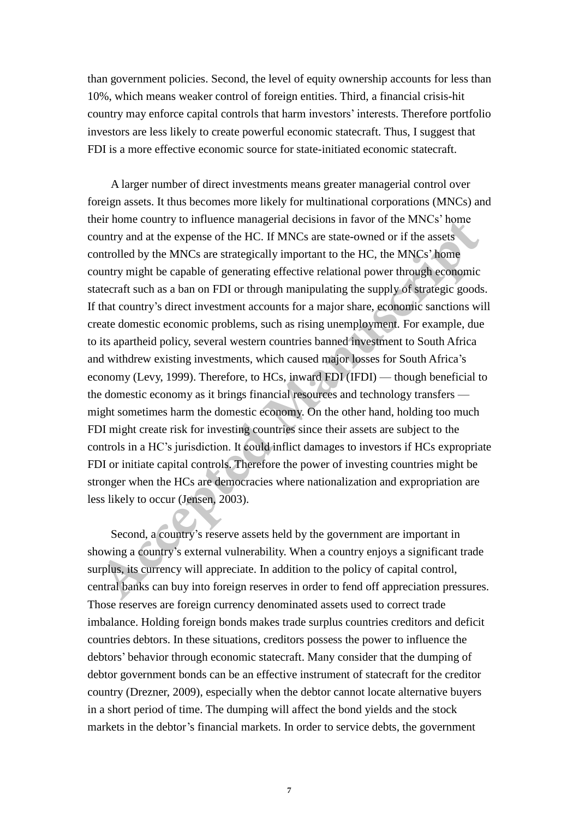than government policies. Second, the level of equity ownership accounts for less than 10%, which means weaker control of foreign entities. Third, a financial crisis-hit country may enforce capital controls that harm investors' interests. Therefore portfolio investors are less likely to create powerful economic statecraft. Thus, I suggest that FDI is a more effective economic source for state-initiated economic statecraft.

country may enforce capital controls that harm investons' interests. Therefore portfolio<br>investors are less lieby to recure powerful economic staterant. Thus, I suggest that<br>H31 is a more effective conomic source for state A larger number of direct investments means greater managerial control over foreign assets. It thus becomes more likely for multinational corporations (MNCs) and their home country to influence managerial decisions in favor of the MNCs' home country and at the expense of the HC. If MNCs are state-owned or if the assets controlled by the MNCs are strategically important to the HC, the MNCs' home country might be capable of generating effective relational power through economic statecraft such as a ban on FDI or through manipulating the supply of strategic goods. If that country's direct investment accounts for a major share, economic sanctions will create domestic economic problems, such as rising unemployment. For example, due to its apartheid policy, several western countries banned investment to South Africa and withdrew existing investments, which caused major losses for South Africa's economy (Levy, 1999). Therefore, to HCs, inward FDI (IFDI) — though beneficial to the domestic economy as it brings financial resources and technology transfers might sometimes harm the domestic economy. On the other hand, holding too much FDI might create risk for investing countries since their assets are subject to the controls in a HC's jurisdiction. It could inflict damages to investors if HCs expropriate FDI or initiate capital controls. Therefore the power of investing countries might be stronger when the HCs are democracies where nationalization and expropriation are less likely to occur (Jensen, 2003).

Second, a country's reserve assets held by the government are important in showing a country's external vulnerability. When a country enjoys a significant trade surplus, its currency will appreciate. In addition to the policy of capital control, central banks can buy into foreign reserves in order to fend off appreciation pressures. Those reserves are foreign currency denominated assets used to correct trade imbalance. Holding foreign bonds makes trade surplus countries creditors and deficit countries debtors. In these situations, creditors possess the power to influence the debtors' behavior through economic statecraft. Many consider that the dumping of debtor government bonds can be an effective instrument of statecraft for the creditor country (Drezner, 2009), especially when the debtor cannot locate alternative buyers in a short period of time. The dumping will affect the bond yields and the stock markets in the debtor's financial markets. In order to service debts, the government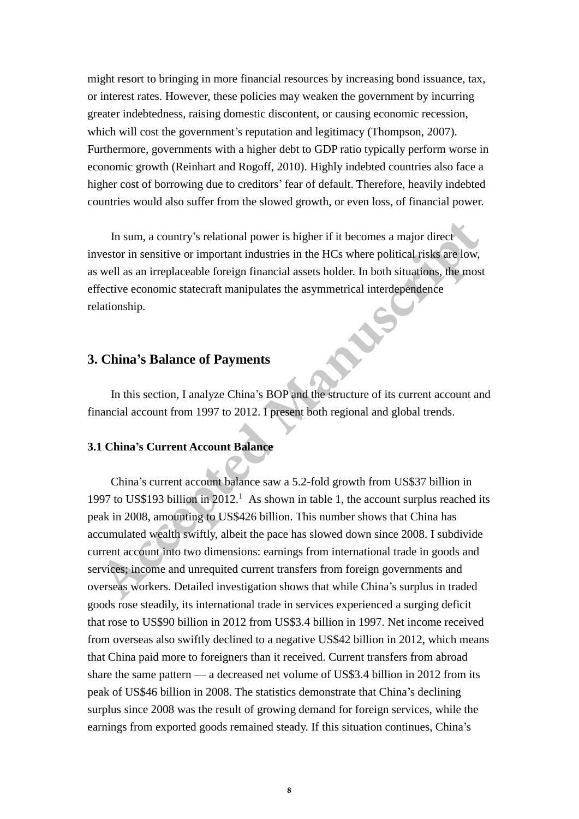might resort to bringing in more financial resources by increasing bond issuance, tax, or interest rates. However, these policies may weaken the government by incurring greater indebtedness, raising domestic discontent, or causing economic recession, which will cost the government's reputation and legitimacy (Thompson, 2007). Furthermore, governments with a higher debt to GDP ratio typically perform worse in economic growth (Reinhart and Rogoff, 2010). Highly indebted countries also face a higher cost of borrowing due to creditors' fear of default. Therefore, heavily indebted countries would also suffer from the slowed growth, or even loss, of financial power.

In sum, a country's relational power is higher if it becomes a major direct investor in sensitive or important industries in the HCs where political risks are low, as well as an irreplaceable foreign financial assets holder. In both situations, the most effective economic statecraft manipulates the asymmetrical interdependence relationship.

## **3. China's Balance of Payments**

In this section, I analyze China's BOP and the structure of its current account and financial account from 1997 to 2012. I present both regional and global trends.

## **3.1 China's Current Account Balance**

greater indebtedness, ruising domestic discontent, or causing economic recession,<br>which will cast the governments vegluation and legitimacy (Thompson, 2007),<br>Furthermore, governments with a higher delt to GDP ratio typical China's current account balance saw a 5.2-fold growth from US\$37 billion in 1997 to US\$193 billion in  $2012<sup>1</sup>$ . As shown in table 1, the account surplus reached its peak in 2008, amounting to US\$426 billion. This number shows that China has accumulated wealth swiftly, albeit the pace has slowed down since 2008. I subdivide current account into two dimensions: earnings from international trade in goods and services; income and unrequited current transfers from foreign governments and overseas workers. Detailed investigation shows that while China's surplus in traded goods rose steadily, its international trade in services experienced a surging deficit that rose to US\$90 billion in 2012 from US\$3.4 billion in 1997. Net income received from overseas also swiftly declined to a negative US\$42 billion in 2012, which means that China paid more to foreigners than it received. Current transfers from abroad share the same pattern — a decreased net volume of US\$3.4 billion in 2012 from its peak of US\$46 billion in 2008. The statistics demonstrate that China's declining surplus since 2008 was the result of growing demand for foreign services, while the earnings from exported goods remained steady. If this situation continues, China's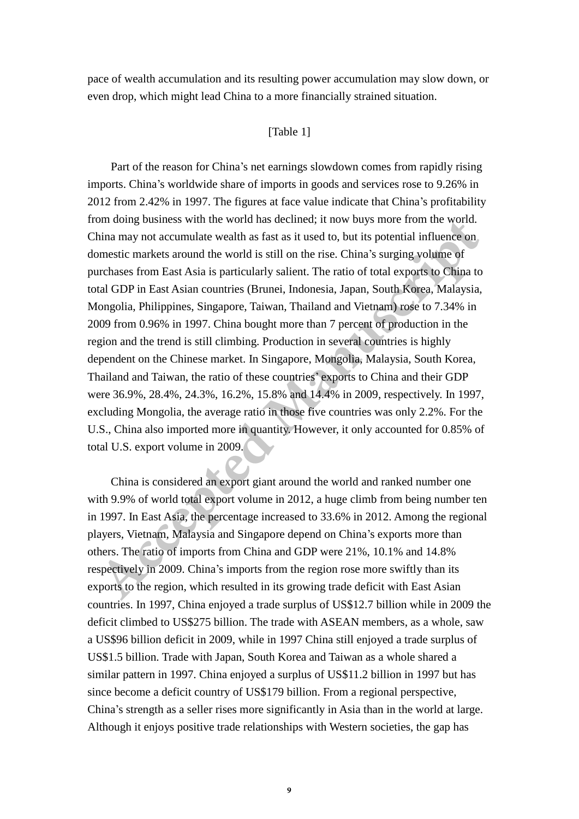pace of wealth accumulation and its resulting power accumulation may slow down, or even drop, which might lead China to a more financially strained situation.

#### [Table 1]

[Table 1]<br>
Part of the reason for China's net carrings slow<br>down comes from nipidly rising<br>
imports. China's worldwide share of imports in goods and services rose to 9.26% in<br>
2012 from 2.42% in 1997. The figures at rise v Part of the reason for China's net earnings slowdown comes from rapidly rising imports. China's worldwide share of imports in goods and services rose to 9.26% in 2012 from 2.42% in 1997. The figures at face value indicate that China's profitability from doing business with the world has declined; it now buys more from the world. China may not accumulate wealth as fast as it used to, but its potential influence on domestic markets around the world is still on the rise. China's surging volume of purchases from East Asia is particularly salient. The ratio of total exports to China to total GDP in East Asian countries (Brunei, Indonesia, Japan, South Korea, Malaysia, Mongolia, Philippines, Singapore, Taiwan, Thailand and Vietnam) rose to 7.34% in 2009 from 0.96% in 1997. China bought more than 7 percent of production in the region and the trend is still climbing. Production in several countries is highly dependent on the Chinese market. In Singapore, Mongolia, Malaysia, South Korea, Thailand and Taiwan, the ratio of these countries' exports to China and their GDP were 36.9%, 28.4%, 24.3%, 16.2%, 15.8% and 14.4% in 2009, respectively. In 1997, excluding Mongolia, the average ratio in those five countries was only 2.2%. For the U.S., China also imported more in quantity. However, it only accounted for 0.85% of total U.S. export volume in 2009.

China is considered an export giant around the world and ranked number one with 9.9% of world total export volume in 2012, a huge climb from being number ten in 1997. In East Asia, the percentage increased to 33.6% in 2012. Among the regional players, Vietnam, Malaysia and Singapore depend on China's exports more than others. The ratio of imports from China and GDP were 21%, 10.1% and 14.8% respectively in 2009. China's imports from the region rose more swiftly than its exports to the region, which resulted in its growing trade deficit with East Asian countries. In 1997, China enjoyed a trade surplus of US\$12.7 billion while in 2009 the deficit climbed to US\$275 billion. The trade with ASEAN members, as a whole, saw a US\$96 billion deficit in 2009, while in 1997 China still enjoyed a trade surplus of US\$1.5 billion. Trade with Japan, South Korea and Taiwan as a whole shared a similar pattern in 1997. China enjoyed a surplus of US\$11.2 billion in 1997 but has since become a deficit country of US\$179 billion. From a regional perspective, China's strength as a seller rises more significantly in Asia than in the world at large. Although it enjoys positive trade relationships with Western societies, the gap has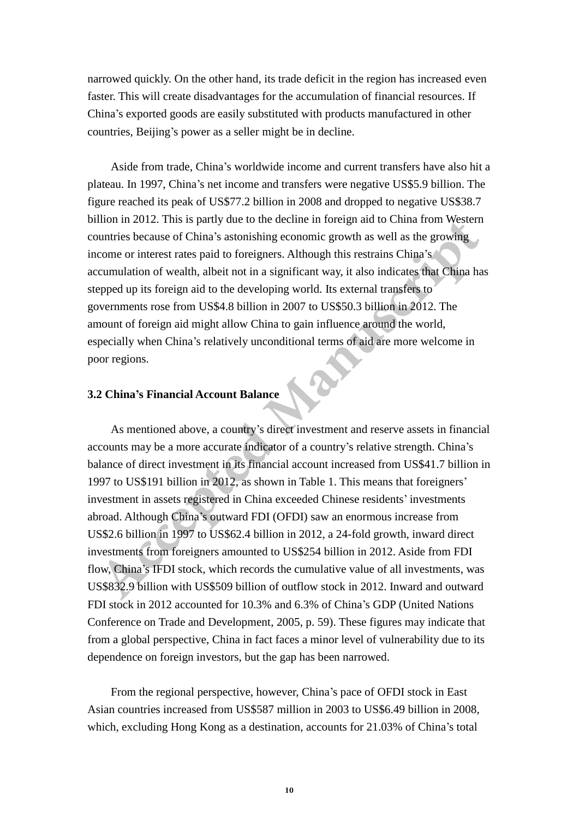narrowed quickly. On the other hand, its trade deficit in the region has increased even faster. This will create disadvantages for the accumulation of financial resources. If China's exported goods are easily substituted with products manufactured in other countries, Beijing's power as a seller might be in decline.

China's exported goods are easily substituted with products manufactured in other<br>countries, Beijing's power as a seller might be in decline.<br>Acide from trade, China's worldwide income and exament ransfers have also hit a<br> Aside from trade, China's worldwide income and current transfers have also hit a plateau. In 1997, China's net income and transfers were negative US\$5.9 billion. The figure reached its peak of US\$77.2 billion in 2008 and dropped to negative US\$38.7 billion in 2012. This is partly due to the decline in foreign aid to China from Western countries because of China's astonishing economic growth as well as the growing income or interest rates paid to foreigners. Although this restrains China's accumulation of wealth, albeit not in a significant way, it also indicates that China has stepped up its foreign aid to the developing world. Its external transfers to governments rose from US\$4.8 billion in 2007 to US\$50.3 billion in 2012. The amount of foreign aid might allow China to gain influence around the world, especially when China's relatively unconditional terms of aid are more welcome in poor regions.

## **3.2 China's Financial Account Balance**

As mentioned above, a country's direct investment and reserve assets in financial accounts may be a more accurate indicator of a country's relative strength. China's balance of direct investment in its financial account increased from US\$41.7 billion in 1997 to US\$191 billion in 2012, as shown in Table 1. This means that foreigners' investment in assets registered in China exceeded Chinese residents' investments abroad. Although China's outward FDI (OFDI) saw an enormous increase from US\$2.6 billion in 1997 to US\$62.4 billion in 2012, a 24-fold growth, inward direct investments from foreigners amounted to US\$254 billion in 2012. Aside from FDI flow, China's IFDI stock, which records the cumulative value of all investments, was US\$832.9 billion with US\$509 billion of outflow stock in 2012. Inward and outward FDI stock in 2012 accounted for 10.3% and 6.3% of China's GDP (United Nations Conference on Trade and Development, 2005, p. 59). These figures may indicate that from a global perspective, China in fact faces a minor level of vulnerability due to its dependence on foreign investors, but the gap has been narrowed.

From the regional perspective, however, China's pace of OFDI stock in East Asian countries increased from US\$587 million in 2003 to US\$6.49 billion in 2008, which, excluding Hong Kong as a destination, accounts for 21.03% of China's total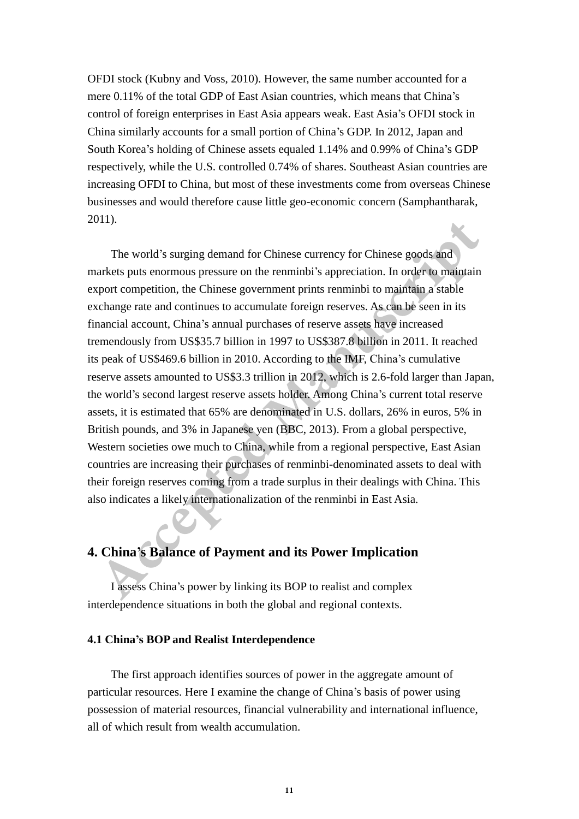OFDI stock (Kubny and Voss, 2010). However, the same number accounted for a mere 0.11% of the total GDP of East Asian countries, which means that China's control of foreign enterprises in East Asia appears weak. East Asia's OFDI stock in China similarly accounts for a small portion of China's GDP. In 2012, Japan and South Korea's holding of Chinese assets equaled 1.14% and 0.99% of China's GDP respectively, while the U.S. controlled 0.74% of shares. Southeast Asian countries are increasing OFDI to China, but most of these investments come from overseas Chinese businesses and would therefore cause little geo-economic concern (Samphantharak, 2011).

control of foreign enterprises in East Asia appears weak. East Asia's OTDI stock in<br>China similarly accounts for a small portion of China's GDP. In 2012, Japan and<br>South Korea's holding of Chinese assets equaled 1.14% and The world's surging demand for Chinese currency for Chinese goods and markets puts enormous pressure on the renminbi's appreciation. In order to maintain export competition, the Chinese government prints renminbi to maintain a stable exchange rate and continues to accumulate foreign reserves. As can be seen in its financial account, China's annual purchases of reserve assets have increased tremendously from US\$35.7 billion in 1997 to US\$387.8 billion in 2011. It reached its peak of US\$469.6 billion in 2010. According to the IMF, China's cumulative reserve assets amounted to US\$3.3 trillion in 2012, which is 2.6-fold larger than Japan, the world's second largest reserve assets holder. Among China's current total reserve assets, it is estimated that 65% are denominated in U.S. dollars, 26% in euros, 5% in British pounds, and 3% in Japanese yen (BBC, 2013). From a global perspective, Western societies owe much to China, while from a regional perspective, East Asian countries are increasing their purchases of renminbi-denominated assets to deal with their foreign reserves coming from a trade surplus in their dealings with China. This also indicates a likely internationalization of the renminbi in East Asia.

## **4. China's Balance of Payment and its Power Implication**

I assess China's power by linking its BOP to realist and complex interdependence situations in both the global and regional contexts.

#### **4.1 China's BOP and Realist Interdependence**

The first approach identifies sources of power in the aggregate amount of particular resources. Here I examine the change of China's basis of power using possession of material resources, financial vulnerability and international influence, all of which result from wealth accumulation.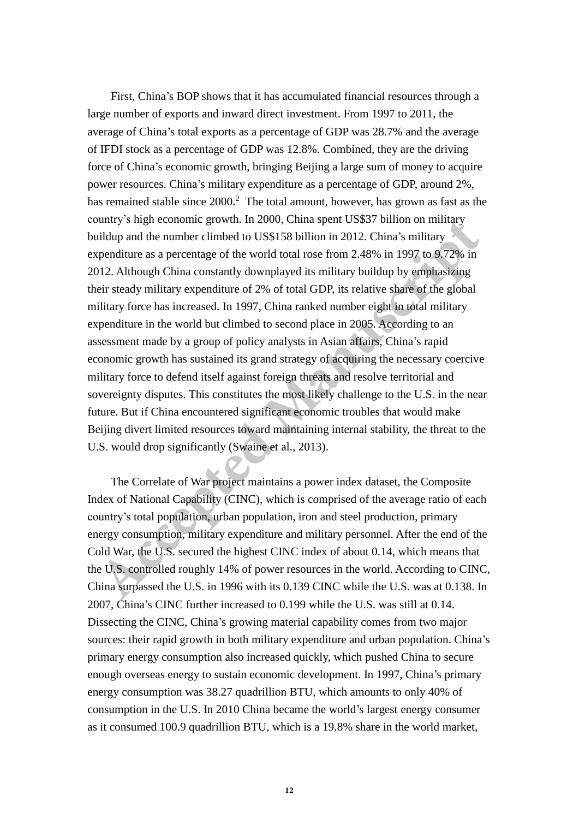large number of exports and inward direct investment. From 1997 to 2011, the average of CIP mix stud exports as a percentage of GDP was 12.78% and the average of EPD stock as a percentage of GDP was 12.8%. Combined, they a First, China's BOP shows that it has accumulated financial resources through a large number of exports and inward direct investment. From 1997 to 2011, the average of China's total exports as a percentage of GDP was 28.7% and the average of IFDI stock as a percentage of GDP was 12.8%. Combined, they are the driving force of China's economic growth, bringing Beijing a large sum of money to acquire power resources. China's military expenditure as a percentage of GDP, around 2%, has remained stable since 2000.<sup>2</sup> The total amount, however, has grown as fast as the country's high economic growth. In 2000, China spent US\$37 billion on military buildup and the number climbed to US\$158 billion in 2012. China's military expenditure as a percentage of the world total rose from 2.48% in 1997 to 9.72% in 2012. Although China constantly downplayed its military buildup by emphasizing their steady military expenditure of 2% of total GDP, its relative share of the global military force has increased. In 1997, China ranked number eight in total military expenditure in the world but climbed to second place in 2005. According to an assessment made by a group of policy analysts in Asian affairs, China's rapid economic growth has sustained its grand strategy of acquiring the necessary coercive military force to defend itself against foreign threats and resolve territorial and sovereignty disputes. This constitutes the most likely challenge to the U.S. in the near future. But if China encountered significant economic troubles that would make Beijing divert limited resources toward maintaining internal stability, the threat to the U.S. would drop significantly (Swaine et al., 2013).

The Correlate of War project maintains a power index dataset, the Composite Index of National Capability (CINC), which is comprised of the average ratio of each country's total population, urban population, iron and steel production, primary energy consumption, military expenditure and military personnel. After the end of the Cold War, the U.S. secured the highest CINC index of about 0.14, which means that the U.S. controlled roughly 14% of power resources in the world. According to CINC, China surpassed the U.S. in 1996 with its 0.139 CINC while the U.S. was at 0.138. In 2007, China's CINC further increased to 0.199 while the U.S. was still at 0.14. Dissecting the CINC, China's growing material capability comes from two major sources: their rapid growth in both military expenditure and urban population. China's primary energy consumption also increased quickly, which pushed China to secure enough overseas energy to sustain economic development. In 1997, China's primary energy consumption was 38.27 quadrillion BTU, which amounts to only 40% of consumption in the U.S. In 2010 China became the world's largest energy consumer as it consumed 100.9 quadrillion BTU, which is a 19.8% share in the world market,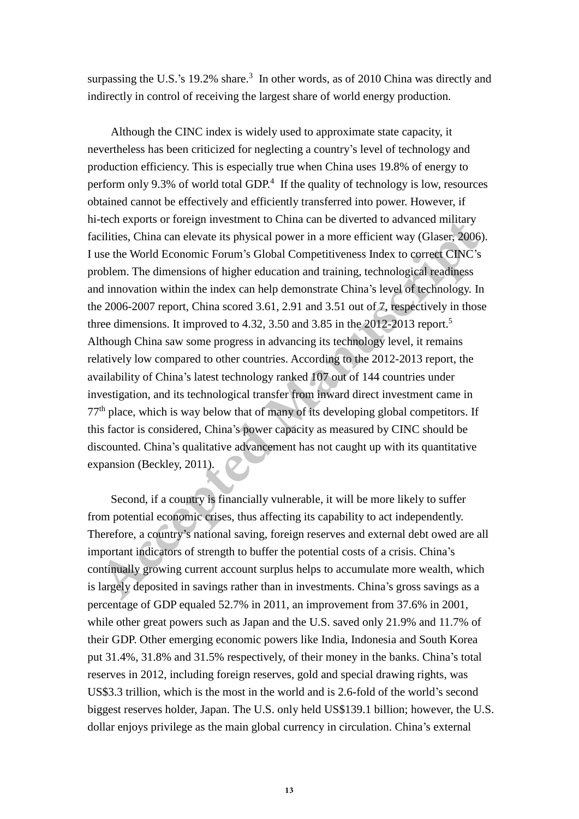surpassing the U.S.'s 19.2% share.<sup>3</sup> In other words, as of 2010 China was directly and indirectly in control of receiving the largest share of world energy production.

Although the CNC index is widely used to approximate state capacity, it<br>nevertheless has heart triticized for neglecting a country's level of technology and<br>production efficiency. This is expecially rme when China uses 19. Although the CINC index is widely used to approximate state capacity, it nevertheless has been criticized for neglecting a country's level of technology and production efficiency. This is especially true when China uses 19.8% of energy to perform only 9.3% of world total GDP. $4$  If the quality of technology is low, resources obtained cannot be effectively and efficiently transferred into power. However, if hi-tech exports or foreign investment to China can be diverted to advanced military facilities, China can elevate its physical power in a more efficient way (Glaser, 2006). I use the World Economic Forum's Global Competitiveness Index to correct CINC's problem. The dimensions of higher education and training, technological readiness and innovation within the index can help demonstrate China's level of technology. In the 2006-2007 report, China scored 3.61, 2.91 and 3.51 out of 7, respectively in those three dimensions. It improved to 4.32, 3.50 and 3.85 in the 2012-2013 report.<sup>5</sup> Although China saw some progress in advancing its technology level, it remains relatively low compared to other countries. According to the 2012-2013 report, the availability of China's latest technology ranked 107 out of 144 countries under investigation, and its technological transfer from inward direct investment came in  $77<sup>th</sup>$  place, which is way below that of many of its developing global competitors. If this factor is considered, China's power capacity as measured by CINC should be discounted. China's qualitative advancement has not caught up with its quantitative expansion (Beckley, 2011).

Second, if a country is financially vulnerable, it will be more likely to suffer from potential economic crises, thus affecting its capability to act independently. Therefore, a country's national saving, foreign reserves and external debt owed are all important indicators of strength to buffer the potential costs of a crisis. China's continually growing current account surplus helps to accumulate more wealth, which is largely deposited in savings rather than in investments. China's gross savings as a percentage of GDP equaled 52.7% in 2011, an improvement from 37.6% in 2001, while other great powers such as Japan and the U.S. saved only 21.9% and 11.7% of their GDP. Other emerging economic powers like India, Indonesia and South Korea put 31.4%, 31.8% and 31.5% respectively, of their money in the banks. China's total reserves in 2012, including foreign reserves, gold and special drawing rights, was US\$3.3 trillion, which is the most in the world and is 2.6-fold of the world's second biggest reserves holder, Japan. The U.S. only held US\$139.1 billion; however, the U.S. dollar enjoys privilege as the main global currency in circulation. China's external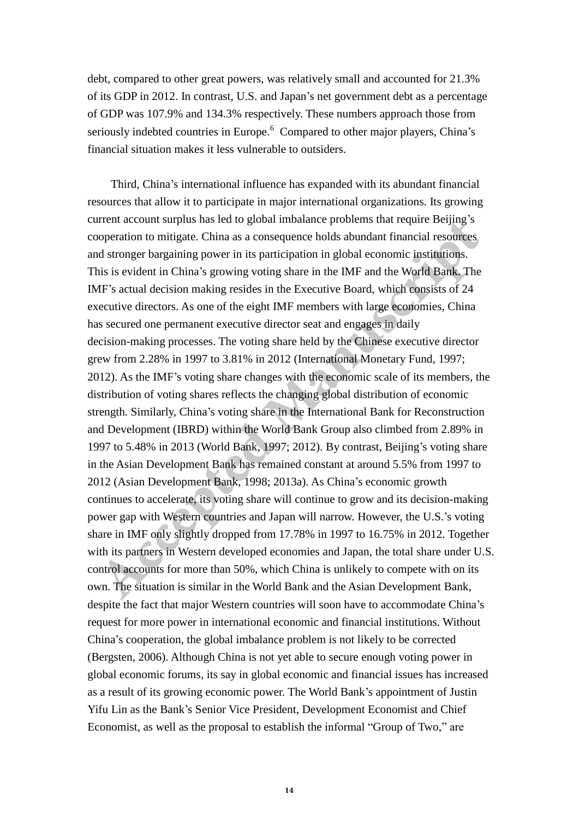debt, compared to other great powers, was relatively small and accounted for 21.3% of its GDP in 2012. In contrast, U.S. and Japan's net government debt as a percentage of GDP was 107.9% and 134.3% respectively. These numbers approach those from seriously indebted countries in Europe.<sup>6</sup> Compared to other major players, China's financial situation makes it less vulnerable to outsiders.

of GDP was 107.9% and 134.3% respectively. These numbers approach those from sciencial yimlehed countrise in Europe.<sup>6</sup> Compared to other major phyere, Chima's financial situation makes it less vulnerable to outsiders. The Third, China's international influence has expanded with its abundant financial resources that allow it to participate in major international organizations. Its growing current account surplus has led to global imbalance problems that require Beijing's cooperation to mitigate. China as a consequence holds abundant financial resources and stronger bargaining power in its participation in global economic institutions. This is evident in China's growing voting share in the IMF and the World Bank. The IMF's actual decision making resides in the Executive Board, which consists of 24 executive directors. As one of the eight IMF members with large economies, China has secured one permanent executive director seat and engages in daily decision-making processes. The voting share held by the Chinese executive director grew from 2.28% in 1997 to 3.81% in 2012 (International Monetary Fund, 1997; 2012). As the IMF's voting share changes with the economic scale of its members, the distribution of voting shares reflects the changing global distribution of economic strength. Similarly, China's voting share in the International Bank for Reconstruction and Development (IBRD) within the World Bank Group also climbed from 2.89% in 1997 to 5.48% in 2013 (World Bank, 1997; 2012). By contrast, Beijing's voting share in the Asian Development Bank has remained constant at around 5.5% from 1997 to 2012 (Asian Development Bank, 1998; 2013a). As China's economic growth continues to accelerate, its voting share will continue to grow and its decision-making power gap with Western countries and Japan will narrow. However, the U.S.'s voting share in IMF only slightly dropped from 17.78% in 1997 to 16.75% in 2012. Together with its partners in Western developed economies and Japan, the total share under U.S. control accounts for more than 50%, which China is unlikely to compete with on its own. The situation is similar in the World Bank and the Asian Development Bank, despite the fact that major Western countries will soon have to accommodate China's request for more power in international economic and financial institutions. Without China's cooperation, the global imbalance problem is not likely to be corrected (Bergsten, 2006). Although China is not yet able to secure enough voting power in global economic forums, its say in global economic and financial issues has increased as a result of its growing economic power. The World Bank's appointment of Justin Yifu Lin as the Bank's Senior Vice President, Development Economist and Chief Economist, as well as the proposal to establish the informal "Group of Two," are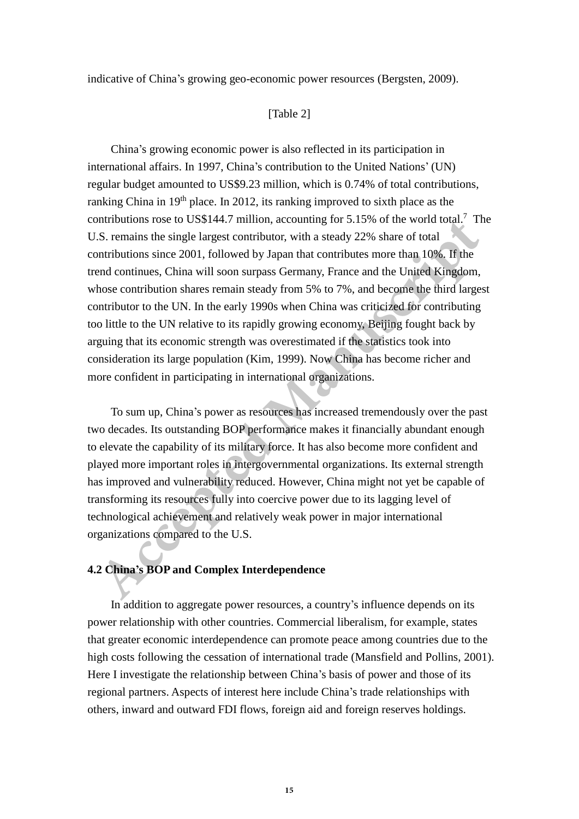indicative of China's growing geo-economic power resources (Bergsten, 2009).

#### [Table 2]

Trable 2]<br>
Trable 2]<br> **China's growing economic power is also reflected in its participation in**<br>
international affains, In 1997, chimia's contribution to the United Nationes' (UN)<br>
regular budget amounted to USS9.23 multi China's growing economic power is also reflected in its participation in international affairs. In 1997, China's contribution to the United Nations' (UN) regular budget amounted to US\$9.23 million, which is 0.74% of total contributions, ranking China in 19th place. In 2012, its ranking improved to sixth place as the contributions rose to US\$144.7 million, accounting for 5.15% of the world total.<sup>7</sup> The U.S. remains the single largest contributor, with a steady 22% share of total contributions since 2001, followed by Japan that contributes more than 10%. If the trend continues, China will soon surpass Germany, France and the United Kingdom, whose contribution shares remain steady from 5% to 7%, and become the third largest contributor to the UN. In the early 1990s when China was criticized for contributing too little to the UN relative to its rapidly growing economy, Beijing fought back by arguing that its economic strength was overestimated if the statistics took into consideration its large population (Kim, 1999). Now China has become richer and more confident in participating in international organizations.

To sum up, China's power as resources has increased tremendously over the past two decades. Its outstanding BOP performance makes it financially abundant enough to elevate the capability of its military force. It has also become more confident and played more important roles in intergovernmental organizations. Its external strength has improved and vulnerability reduced. However, China might not yet be capable of transforming its resources fully into coercive power due to its lagging level of technological achievement and relatively weak power in major international organizations compared to the U.S.

## **4.2 China's BOP and Complex Interdependence**

In addition to aggregate power resources, a country's influence depends on its power relationship with other countries. Commercial liberalism, for example, states that greater economic interdependence can promote peace among countries due to the high costs following the cessation of international trade (Mansfield and Pollins, 2001). Here I investigate the relationship between China's basis of power and those of its regional partners. Aspects of interest here include China's trade relationships with others, inward and outward FDI flows, foreign aid and foreign reserves holdings.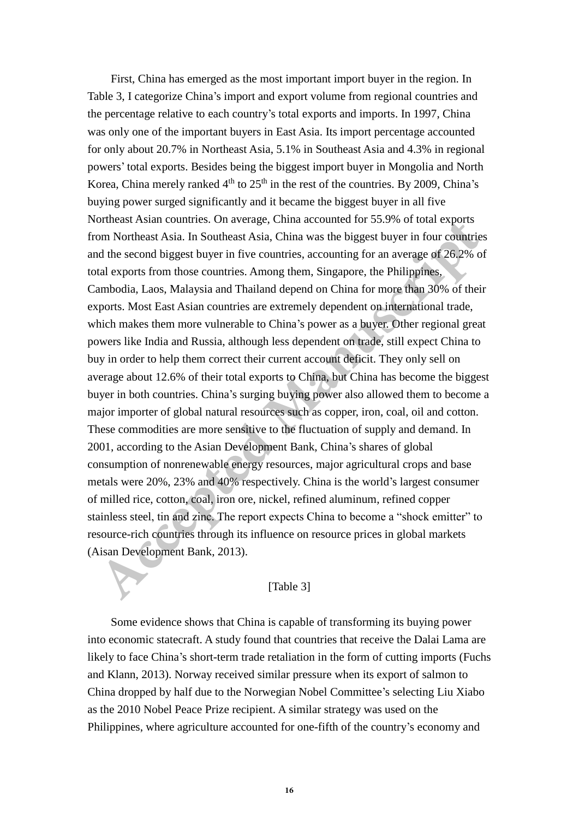the percentage relative to each country's total exports and imports. In 1997, China<br>was only one of the important hayers in East Axia. Its import percentage accounted<br>for only about 20.7% in Northeast Asia, 5.1% in Southea First, China has emerged as the most important import buyer in the region. In Table 3, I categorize China's import and export volume from regional countries and the percentage relative to each country's total exports and imports. In 1997, China was only one of the important buyers in East Asia. Its import percentage accounted for only about 20.7% in Northeast Asia, 5.1% in Southeast Asia and 4.3% in regional powers' total exports. Besides being the biggest import buyer in Mongolia and North Korea, China merely ranked  $4<sup>th</sup>$  to  $25<sup>th</sup>$  in the rest of the countries. By 2009, China's buying power surged significantly and it became the biggest buyer in all five Northeast Asian countries. On average, China accounted for 55.9% of total exports from Northeast Asia. In Southeast Asia, China was the biggest buyer in four countries and the second biggest buyer in five countries, accounting for an average of 26.2% of total exports from those countries. Among them, Singapore, the Philippines, Cambodia, Laos, Malaysia and Thailand depend on China for more than 30% of their exports. Most East Asian countries are extremely dependent on international trade, which makes them more vulnerable to China's power as a buyer. Other regional great powers like India and Russia, although less dependent on trade, still expect China to buy in order to help them correct their current account deficit. They only sell on average about 12.6% of their total exports to China, but China has become the biggest buyer in both countries. China's surging buying power also allowed them to become a major importer of global natural resources such as copper, iron, coal, oil and cotton. These commodities are more sensitive to the fluctuation of supply and demand. In 2001, according to the Asian Development Bank, China's shares of global consumption of nonrenewable energy resources, major agricultural crops and base metals were 20%, 23% and 40% respectively. China is the world's largest consumer of milled rice, cotton, coal, iron ore, nickel, refined aluminum, refined copper stainless steel, tin and zinc. The report expects China to become a "shock emitter" to resource-rich countries through its influence on resource prices in global markets (Aisan Development Bank, 2013).

## [Table 3]

Some evidence shows that China is capable of transforming its buying power into economic statecraft. A study found that countries that receive the Dalai Lama are likely to face China's short-term trade retaliation in the form of cutting imports (Fuchs and Klann, 2013). Norway received similar pressure when its export of salmon to China dropped by half due to the Norwegian Nobel Committee's selecting Liu Xiabo as the 2010 Nobel Peace Prize recipient. A similar strategy was used on the Philippines, where agriculture accounted for one-fifth of the country's economy and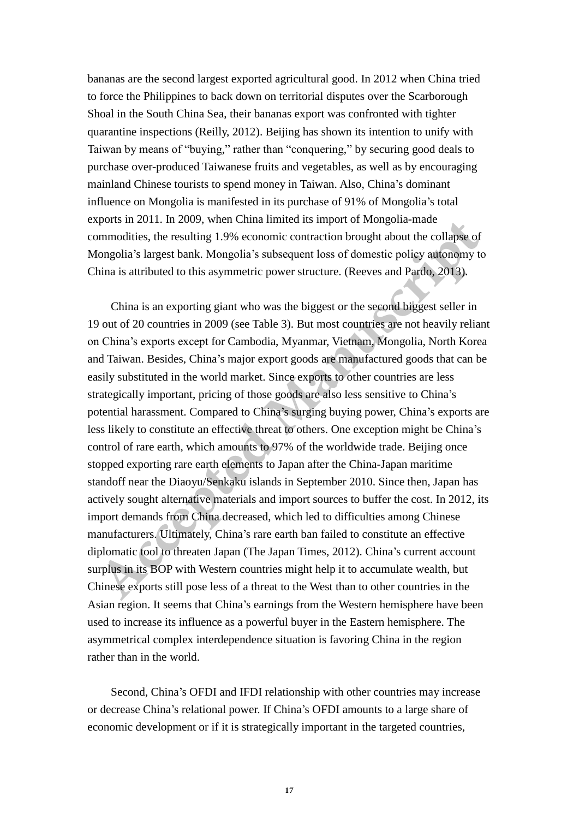bananas are the second largest exported agricultural good. In 2012 when China tried to force the Philippines to back down on territorial disputes over the Scarborough Shoal in the South China Sea, their bananas export was confronted with tighter quarantine inspections (Reilly, 2012). Beijing has shown its intention to unify with Taiwan by means of "buying," rather than "conquering," by securing good deals to purchase over-produced Taiwanese fruits and vegetables, as well as by encouraging mainland Chinese tourists to spend money in Taiwan. Also, China's dominant influence on Mongolia is manifested in its purchase of 91% of Mongolia's total exports in 2011. In 2009, when China limited its import of Mongolia-made commodities, the resulting 1.9% economic contraction brought about the collapse of Mongolia's largest bank. Mongolia's subsequent loss of domestic policy autonomy to China is attributed to this asymmetric power structure. (Reeves and Pardo, 2013).

Shoal in the South China Sea, their bananas export was confronted with sighter<br>unramine impections (Relity, 2012). Beijing has shown its intention to unify with<br>Taiwan by means of "buying," afther than "conquering," by se China is an exporting giant who was the biggest or the second biggest seller in 19 out of 20 countries in 2009 (see Table 3). But most countries are not heavily reliant on China's exports except for Cambodia, Myanmar, Vietnam, Mongolia, North Korea and Taiwan. Besides, China's major export goods are manufactured goods that can be easily substituted in the world market. Since exports to other countries are less strategically important, pricing of those goods are also less sensitive to China's potential harassment. Compared to China's surging buying power, China's exports are less likely to constitute an effective threat to others. One exception might be China's control of rare earth, which amounts to 97% of the worldwide trade. Beijing once stopped exporting rare earth elements to Japan after the China-Japan maritime standoff near the Diaoyu/Senkaku islands in September 2010. Since then, Japan has actively sought alternative materials and import sources to buffer the cost. In 2012, its import demands from China decreased, which led to difficulties among Chinese manufacturers. Ultimately, China's rare earth ban failed to constitute an effective diplomatic tool to threaten Japan (The Japan Times, 2012). China's current account surplus in its BOP with Western countries might help it to accumulate wealth, but Chinese exports still pose less of a threat to the West than to other countries in the Asian region. It seems that China's earnings from the Western hemisphere have been used to increase its influence as a powerful buyer in the Eastern hemisphere. The asymmetrical complex interdependence situation is favoring China in the region rather than in the world.

> Second, China's OFDI and IFDI relationship with other countries may increase or decrease China's relational power. If China's OFDI amounts to a large share of economic development or if it is strategically important in the targeted countries,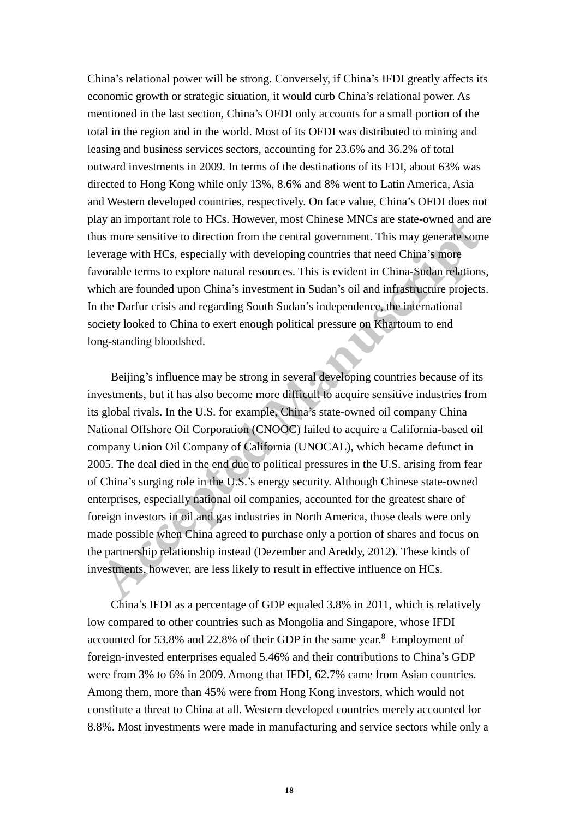mentioned in the last section. China's OFDI only accouns for a small portion of the<br>total in the regrion and in the world. Note of its OFDI was distributed to mining and<br>leasing and huseries services sectors, accounting fo China's relational power will be strong. Conversely, if China's IFDI greatly affects its economic growth or strategic situation, it would curb China's relational power. As mentioned in the last section, China's OFDI only accounts for a small portion of the total in the region and in the world. Most of its OFDI was distributed to mining and leasing and business services sectors, accounting for 23.6% and 36.2% of total outward investments in 2009. In terms of the destinations of its FDI, about 63% was directed to Hong Kong while only 13%, 8.6% and 8% went to Latin America, Asia and Western developed countries, respectively. On face value, China's OFDI does not play an important role to HCs. However, most Chinese MNCs are state-owned and are thus more sensitive to direction from the central government. This may generate some leverage with HCs, especially with developing countries that need China's more favorable terms to explore natural resources. This is evident in China-Sudan relations, which are founded upon China's investment in Sudan's oil and infrastructure projects. In the Darfur crisis and regarding South Sudan's independence, the international society looked to China to exert enough political pressure on Khartoum to end long-standing bloodshed.

Beijing's influence may be strong in several developing countries because of its investments, but it has also become more difficult to acquire sensitive industries from its global rivals. In the U.S. for example, China's state-owned oil company China National Offshore Oil Corporation (CNOOC) failed to acquire a California-based oil company Union Oil Company of California (UNOCAL), which became defunct in 2005. The deal died in the end due to political pressures in the U.S. arising from fear of China's surging role in the U.S.'s energy security. Although Chinese state-owned enterprises, especially national oil companies, accounted for the greatest share of foreign investors in oil and gas industries in North America, those deals were only made possible when China agreed to purchase only a portion of shares and focus on the partnership relationship instead (Dezember and Areddy, 2012). These kinds of investments, however, are less likely to result in effective influence on HCs.

China's IFDI as a percentage of GDP equaled 3.8% in 2011, which is relatively low compared to other countries such as Mongolia and Singapore, whose IFDI accounted for 53.8% and 22.8% of their GDP in the same year. <sup>8</sup> Employment of foreign-invested enterprises equaled 5.46% and their contributions to China's GDP were from 3% to 6% in 2009. Among that IFDI, 62.7% came from Asian countries. Among them, more than 45% were from Hong Kong investors, which would not constitute a threat to China at all. Western developed countries merely accounted for 8.8%. Most investments were made in manufacturing and service sectors while only a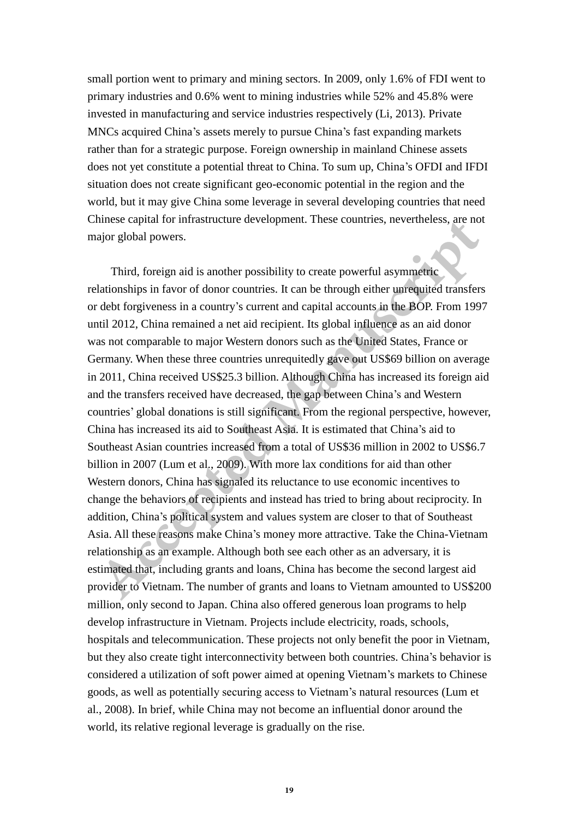small portion went to primary and mining sectors. In 2009, only 1.6% of FDI went to primary industries and 0.6% went to mining industries while 52% and 45.8% were invested in manufacturing and service industries respectively (Li, 2013). Private MNCs acquired China's assets merely to pursue China's fast expanding markets rather than for a strategic purpose. Foreign ownership in mainland Chinese assets does not yet constitute a potential threat to China. To sum up, China's OFDI and IFDI situation does not create significant geo-economic potential in the region and the world, but it may give China some leverage in several developing countries that need Chinese capital for infrastructure development. These countries, nevertheless, are not major global powers.

invested in manufacuring and service industries respectively (Li, 2013). Private<br>MNCs acquired China's assets merely to pursue China's fast expanding markets<br>mather than for a strategic purpose. Fureign ownership in mainla Third, foreign aid is another possibility to create powerful asymmetric relationships in favor of donor countries. It can be through either unrequited transfers or debt forgiveness in a country's current and capital accounts in the BOP. From 1997 until 2012, China remained a net aid recipient. Its global influence as an aid donor was not comparable to major Western donors such as the United States, France or Germany. When these three countries unrequitedly gave out US\$69 billion on average in 2011, China received US\$25.3 billion. Although China has increased its foreign aid and the transfers received have decreased, the gap between China's and Western countries' global donations is still significant. From the regional perspective, however, China has increased its aid to Southeast Asia. It is estimated that China's aid to Southeast Asian countries increased from a total of US\$36 million in 2002 to US\$6.7 billion in 2007 (Lum et al., 2009). With more lax conditions for aid than other Western donors, China has signaled its reluctance to use economic incentives to change the behaviors of recipients and instead has tried to bring about reciprocity. In addition, China's political system and values system are closer to that of Southeast Asia. All these reasons make China's money more attractive. Take the China-Vietnam relationship as an example. Although both see each other as an adversary, it is estimated that, including grants and loans, China has become the second largest aid provider to Vietnam. The number of grants and loans to Vietnam amounted to US\$200 million, only second to Japan. China also offered generous loan programs to help develop infrastructure in Vietnam. Projects include electricity, roads, schools, hospitals and telecommunication. These projects not only benefit the poor in Vietnam, but they also create tight interconnectivity between both countries. China's behavior is considered a utilization of soft power aimed at opening Vietnam's markets to Chinese goods, as well as potentially securing access to Vietnam's natural resources (Lum et al., 2008). In brief, while China may not become an influential donor around the world, its relative regional leverage is gradually on the rise.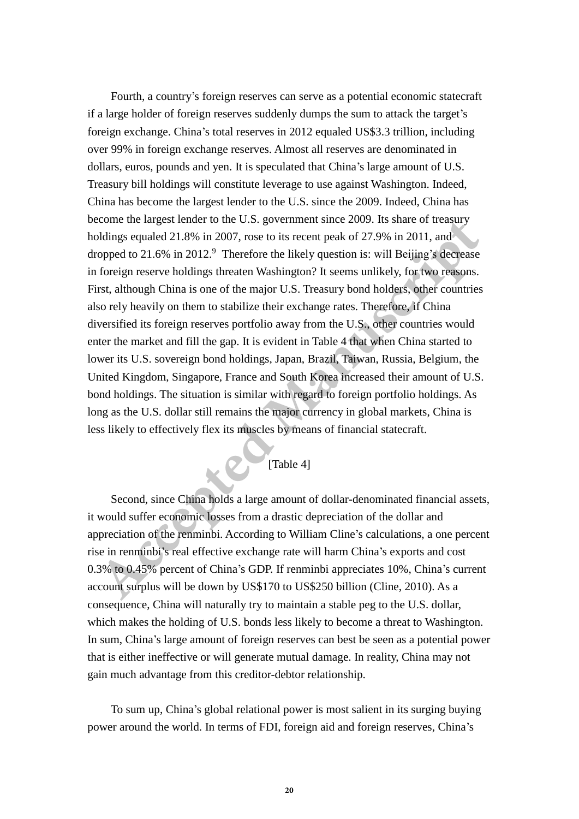if a large holder of foreign reserves suddenly dumps the sum to attack the target's<br>foreign exchange. China's but besteres in 2012 equalited US\$3.3 tirilibun, including<br>over 99% in foreign exchange reserves. Almost all res Fourth, a country's foreign reserves can serve as a potential economic statecraft if a large holder of foreign reserves suddenly dumps the sum to attack the target's foreign exchange. China's total reserves in 2012 equaled US\$3.3 trillion, including over 99% in foreign exchange reserves. Almost all reserves are denominated in dollars, euros, pounds and yen. It is speculated that China's large amount of U.S. Treasury bill holdings will constitute leverage to use against Washington. Indeed, China has become the largest lender to the U.S. since the 2009. Indeed, China has become the largest lender to the U.S. government since 2009. Its share of treasury holdings equaled 21.8% in 2007, rose to its recent peak of 27.9% in 2011, and dropped to  $21.6\%$  in  $2012$ .<sup>9</sup> Therefore the likely question is: will Beijing's decrease in foreign reserve holdings threaten Washington? It seems unlikely, for two reasons. First, although China is one of the major U.S. Treasury bond holders, other countries also rely heavily on them to stabilize their exchange rates. Therefore, if China diversified its foreign reserves portfolio away from the U.S., other countries would enter the market and fill the gap. It is evident in Table 4 that when China started to lower its U.S. sovereign bond holdings, Japan, Brazil, Taiwan, Russia, Belgium, the United Kingdom, Singapore, France and South Korea increased their amount of U.S. bond holdings. The situation is similar with regard to foreign portfolio holdings. As long as the U.S. dollar still remains the major currency in global markets, China is less likely to effectively flex its muscles by means of financial statecraft.

# $\begin{picture}(180,170)(-20,170)(-20,170)(-20,170)(-20,170)(-20,170)(-20,170)(-20,170)(-20,170)(-20,170)(-20,170)(-20,170)(-20,170)(-20,170)(-20,170)(-20,170)(-20,170)(-20,170)(-20,170)(-20,170)(-20,170)(-20,170)(-20,170)(-20,170)(-20,170)(-20,170)(-20,170$

Second, since China holds a large amount of dollar-denominated financial assets, it would suffer economic losses from a drastic depreciation of the dollar and appreciation of the renminbi. According to William Cline's calculations, a one percent rise in renminbi's real effective exchange rate will harm China's exports and cost 0.3% to 0.45% percent of China's GDP. If renminbi appreciates 10%, China's current account surplus will be down by US\$170 to US\$250 billion (Cline, 2010). As a consequence, China will naturally try to maintain a stable peg to the U.S. dollar, which makes the holding of U.S. bonds less likely to become a threat to Washington. In sum, China's large amount of foreign reserves can best be seen as a potential power that is either ineffective or will generate mutual damage. In reality, China may not gain much advantage from this creditor-debtor relationship.

To sum up, China's global relational power is most salient in its surging buying power around the world. In terms of FDI, foreign aid and foreign reserves, China's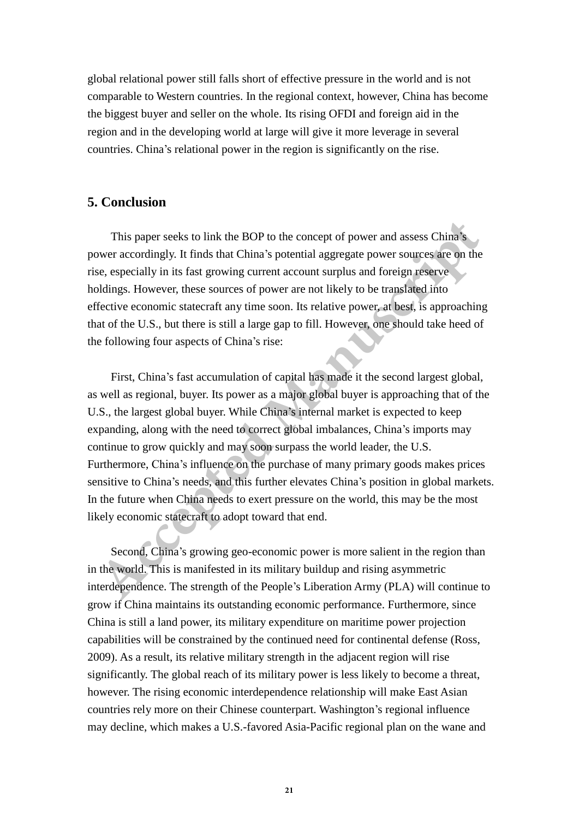global relational power still falls short of effective pressure in the world and is not comparable to Western countries. In the regional context, however, China has become the biggest buyer and seller on the whole. Its rising OFDI and foreign aid in the region and in the developing world at large will give it more leverage in several countries. China's relational power in the region is significantly on the rise.

## **5. Conclusion**

This paper seeks to link the BOP to the concept of power and assess China's power accordingly. It finds that China's potential aggregate power sources are on the rise, especially in its fast growing current account surplus and foreign reserve holdings. However, these sources of power are not likely to be translated into effective economic statecraft any time soon. Its relative power, at best, is approaching that of the U.S., but there is still a large gap to fill. However, one should take heed of the following four aspects of China's rise:

the biggest buyer and seller on the whole. Its rising OFDI and foreign aid in the region and in the developing world at large will give it more leverage in several<br>countries. China's relational power in the region is signi First, China's fast accumulation of capital has made it the second largest global, as well as regional, buyer. Its power as a major global buyer is approaching that of the U.S., the largest global buyer. While China's internal market is expected to keep expanding, along with the need to correct global imbalances, China's imports may continue to grow quickly and may soon surpass the world leader, the U.S. Furthermore, China's influence on the purchase of many primary goods makes prices sensitive to China's needs, and this further elevates China's position in global markets. In the future when China needs to exert pressure on the world, this may be the most likely economic statecraft to adopt toward that end.

Second, China's growing geo-economic power is more salient in the region than in the world. This is manifested in its military buildup and rising asymmetric interdependence. The strength of the People's Liberation Army (PLA) will continue to grow if China maintains its outstanding economic performance. Furthermore, since China is still a land power, its military expenditure on maritime power projection capabilities will be constrained by the continued need for continental defense (Ross, 2009). As a result, its relative military strength in the adjacent region will rise significantly. The global reach of its military power is less likely to become a threat, however. The rising economic interdependence relationship will make East Asian countries rely more on their Chinese counterpart. Washington's regional influence may decline, which makes a U.S.-favored Asia-Pacific regional plan on the wane and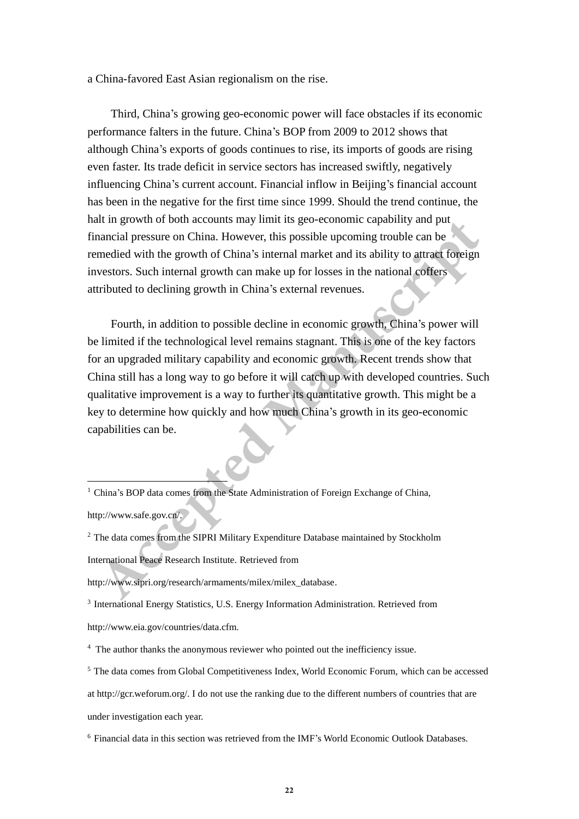a China-favored East Asian regionalism on the rise.

Third, China's growing geo-economic power will face obstacles if its economic performance fallers in the future. China's BOP from 2009 to 2012 shows that athough China's exports of goods carrimes to rive, its imports of go Third, China's growing geo-economic power will face obstacles if its economic performance falters in the future. China's BOP from 2009 to 2012 shows that although China's exports of goods continues to rise, its imports of goods are rising even faster. Its trade deficit in service sectors has increased swiftly, negatively influencing China's current account. Financial inflow in Beijing's financial account has been in the negative for the first time since 1999. Should the trend continue, the halt in growth of both accounts may limit its geo-economic capability and put financial pressure on China. However, this possible upcoming trouble can be remedied with the growth of China's internal market and its ability to attract foreign investors. Such internal growth can make up for losses in the national coffers attributed to declining growth in China's external revenues.

Fourth, in addition to possible decline in economic growth, China's power will be limited if the technological level remains stagnant. This is one of the key factors for an upgraded military capability and economic growth. Recent trends show that China still has a long way to go before it will catch up with developed countries. Such qualitative improvement is a way to further its quantitative growth. This might be a key to determine how quickly and how much China's growth in its geo-economic capabilities can be.

http://www.eia.gov/countries/data.cfm.

under investigation each year.

-

<sup>&</sup>lt;sup>1</sup> China's BOP data comes from the State Administration of Foreign Exchange of China, http://www.safe.gov.cn/.

<sup>&</sup>lt;sup>2</sup> The data comes from the SIPRI Military Expenditure Database maintained by Stockholm International Peace Research Institute. Retrieved from

http://www.sipri.org/research/armaments/milex/milex\_database.

<sup>&</sup>lt;sup>3</sup> International Energy Statistics, U.S. Energy Information Administration. Retrieved from

<sup>&</sup>lt;sup>4</sup> The author thanks the anonymous reviewer who pointed out the inefficiency issue.

<sup>5</sup> The data comes from Global Competitiveness Index, World Economic Forum, which can be accessed

at http://gcr.weforum.org/. I do not use the ranking due to the different numbers of countries that are

<sup>6</sup> Financial data in this section was retrieved from the IMF's World Economic Outlook Databases.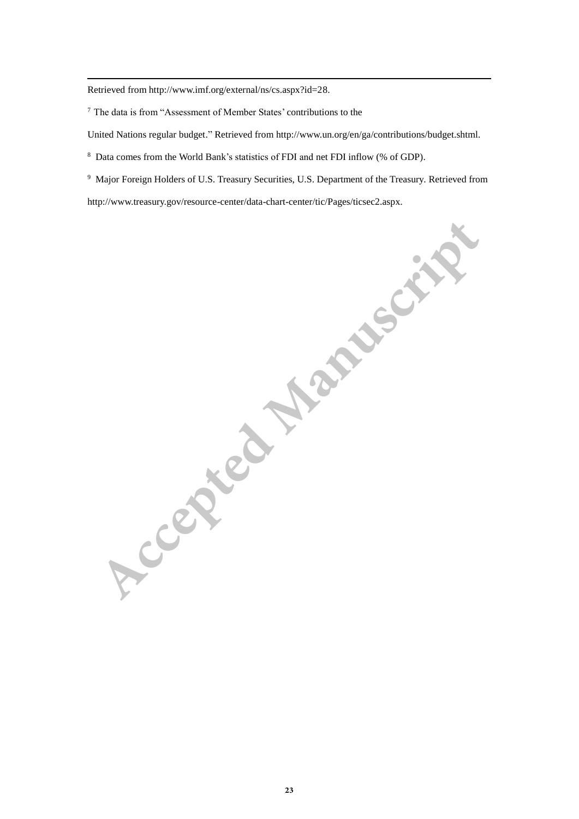Retrieved from http://www.imf.org/external/ns/cs.aspx?id=28.

-

<sup>7</sup> The data is from "Assessment of Member States' contributions to the

United Nations regular budget." Retrieved from http://www.un.org/en/ga/contributions/budget.shtml.

- <sup>8</sup> Data comes from the World Bank's statistics of FDI and net FDI inflow (% of GDP).
- <sup>9</sup> Maior Foreign Holders of U.S. Treasury Securities, U.S. Department of the Treasury. Retrieved from

http://www.treasury.gov/resource-center/data-chart-center/tic/Pages/ticsec2.aspx.

The data is from "Assessment of Member States" contributions to the<br>United Nations regular budget." Retrieved from Intry-Newwan orgeted procedure that the Theorem and the Theorem Scheme (Second Control Control Control Cont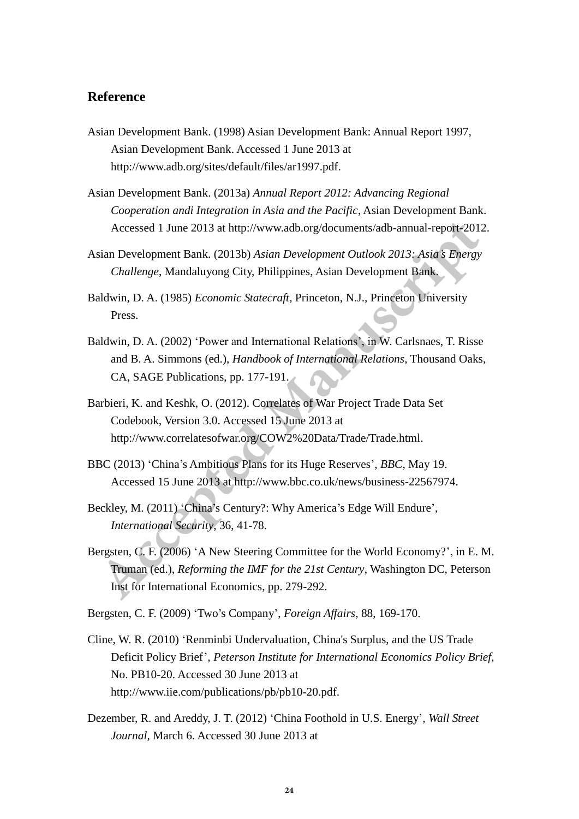## **Reference**

- Asian Development Bank. (1998) Asian Development Bank: Annual Report 1997, Asian Development Bank. Accessed 1 June 2013 at http://www.adb.org/sites/default/files/ar1997.pdf.
- Asian Development Bank. (2013a) *Annual Report 2012: Advancing Regional Cooperation andi Integration in Asia and the Pacific*, Asian Development Bank. Accessed 1 June 2013 at http://www.adb.org/documents/adb-annual-report-2012.
- Asian Development Bank. (2013b) *Asian Development Outlook 2013: Asia's Energy Challenge*, Mandaluyong City, Philippines, Asian Development Bank.
- Baldwin, D. A. (1985) *Economic Statecraft*, Princeton, N.J., Princeton University Press.
- Baldwin, D. A. (2002) 'Power and International Relations', in W. Carlsnaes, T. Risse and B. A. Simmons (ed.), *Handbook of International Relations*, Thousand Oaks, CA, SAGE Publications, pp. 177-191.
- Barbieri, K. and Keshk, O. (2012). Correlates of War Project Trade Data Set Codebook, Version 3.0. Accessed 15 June 2013 at http://www.correlatesofwar.org/COW2%20Data/Trade/Trade.html.
- BBC (2013) 'China's Ambitious Plans for its Huge Reserves', *BBC*, May 19. Accessed 15 June 2013 at http://www.bbc.co.uk/news/business-22567974.
- Beckley, M. (2011) 'China's Century?: Why America's Edge Will Endure', *International Security*, 36, 41-78.
- Asian Development Bank, (1998) Asian Development Bank, Ammal Repart 1997,<br>
Asian Development Bank, Accessed 1 June 2013 at<br>
http://www.adb.org/sites/definit/files/art1997<sub>1</sub>pdf.<br>
Asian Development Bank, (2013a) Ammal Repar Bergsten, C. F. (2006) 'A New Steering Committee for the World Economy?', in E. M. Truman (ed.), *Reforming the IMF for the 21st Century*, Washington DC, Peterson Inst for International Economics, pp. 279-292.
	- Bergsten, C. F. (2009) 'Two's Company', *Foreign Affairs*, 88, 169-170.
	- Cline, W. R. (2010) 'Renminbi Undervaluation, China's Surplus, and the US Trade Deficit Policy Brief', *Peterson Institute for International Economics Policy Brief,* No. PB10-20. Accessed 30 June 2013 at http://www.iie.com/publications/pb/pb10-20.pdf.
	- Dezember, R. and Areddy, J. T. (2012) 'China Foothold in U.S. Energy', *Wall Street Journal*, March 6. Accessed 30 June 2013 at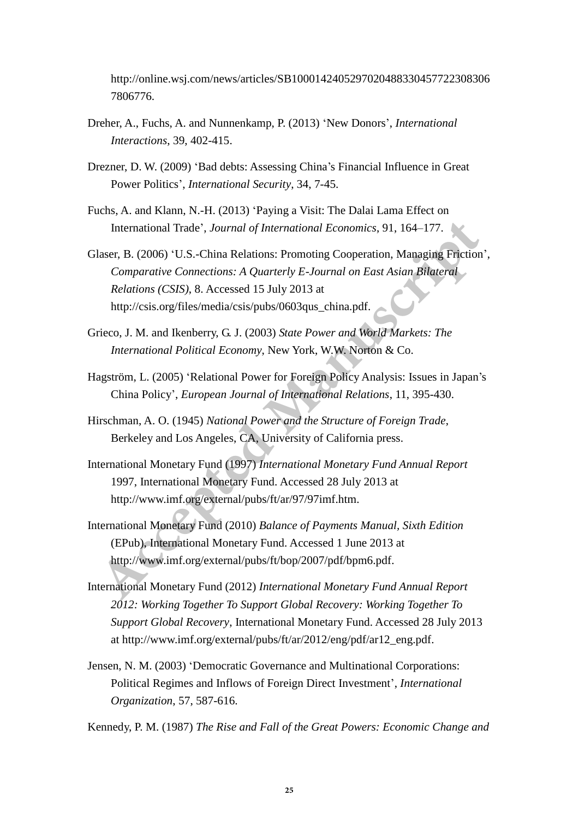http://online.wsj.com/news/articles/SB1000142405297020488330457722308306 7806776.

- Dreher, A., Fuchs, A. and Nunnenkamp, P. (2013) 'New Donors', *International Interactions*, 39, 402-415.
- Drezner, D. W. (2009) 'Bad debts: Assessing China's Financial Influence in Great Power Politics', *International Security*, 34, 7-45.
- Fuchs, A. and Klann, N.-H. (2013) 'Paying a Visit: The Dalai Lama Effect on International Trade', *Journal of International Economics*, 91, 164–177.
- Dreher, A., Fuelss, A. and Numenkamp, P. (2013) 'New Donors', *International*<br> *Interactions*, 39, 402-415.<br>
Herencitos, 39, 402-415.<br>
Herencitos, 39, 402-415.<br>
Herencitos, *Manuschina & Fermingial* Influence in Great<br> **Pa** Glaser, B. (2006) 'U.S.-China Relations: Promoting Cooperation, Managing Friction', *Comparative Connections: A Quarterly E-Journal on East Asian Bilateral Relations (CSIS)*, 8. Accessed 15 July 2013 at http://csis.org/files/media/csis/pubs/0603qus\_china.pdf.
	- Grieco, J. M. and Ikenberry, G. J. (2003) *State Power and World Markets: The International Political Economy*, New York, W.W. Norton & Co.
	- Hagström, L. (2005) 'Relational Power for Foreign Policy Analysis: Issues in Japan's China Policy', *European Journal of International Relations*, 11, 395-430.
	- Hirschman, A. O. (1945) *National Power and the Structure of Foreign Trade*, Berkeley and Los Angeles, CA, University of California press.
	- International Monetary Fund (1997) *International Monetary Fund Annual Report*  1997, International Monetary Fund. Accessed 28 July 2013 at http://www.imf.org/external/pubs/ft/ar/97/97imf.htm.
	- International Monetary Fund (2010) *Balance of Payments Manual, Sixth Edition*  (EPub), International Monetary Fund. Accessed 1 June 2013 at http://www.imf.org/external/pubs/ft/bop/2007/pdf/bpm6.pdf.
	- International Monetary Fund (2012) *International Monetary Fund Annual Report 2012: Working Together To Support Global Recovery: Working Together To Support Global Recovery*, International Monetary Fund. Accessed 28 July 2013 at http://www.imf.org/external/pubs/ft/ar/2012/eng/pdf/ar12\_eng.pdf.
	- Jensen, N. M. (2003) 'Democratic Governance and Multinational Corporations: Political Regimes and Inflows of Foreign Direct Investment', *International Organization*, 57, 587-616.

Kennedy, P. M. (1987) *The Rise and Fall of the Great Powers: Economic Change and*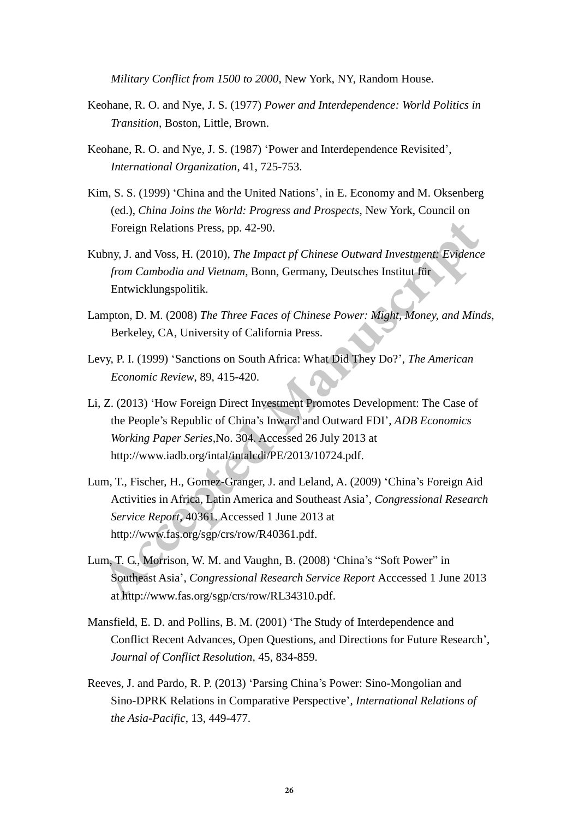*Military Conflict from 1500 to 2000*, New York, NY, Random House.

- Keohane, R. O. and Nye, J. S. (1977) *Power and Interdependence: World Politics in Transition*, Boston, Little, Brown.
- Keohane, R. O. and Nye, J. S. (1987) 'Power and Interdependence Revisited', *International Organization*, 41, 725-753.
- Kim, S. S. (1999) 'China and the United Nations', in E. Economy and M. Oksenberg (ed.), *China Joins the World: Progress and Prospects*, New York, Council on Foreign Relations Press, pp. 42-90.
- Kubny, J. and Voss, H. (2010), *The Impact pf Chinese Outward Investment: Evidence from Cambodia and Vietnam*, Bonn, Germany, Deutsches Institut für Entwicklungspolitik.
- Lampton, D. M. (2008) *The Three Faces of Chinese Power: Might, Money, and Minds*, Berkeley, CA, University of California Press.
- Levy, P. I. (1999) 'Sanctions on South Africa: What Did They Do?', *The American Economic Review*, 89, 415-420.
- Li, Z. (2013) 'How Foreign Direct Investment Promotes Development: The Case of the People's Republic of China's Inward and Outward FDI', *ADB Economics Working Paper Series,*No. 304. Accessed 26 July 2013 at http://www.iadb.org/intal/intalcdi/PE/2013/10724.pdf.
- **Accounts, N.C. J. Stories (1.9.11) Prover and morasponaence: World Points (n.m.)**<br> *Transition*, Boston, Little, Brown.<br> **Kechane, R. O. and Nye, J. S.** (1987) "Power and Intertiependence Revisited',<br> *Marmational Organiz* Lum, T., Fischer, H., Gomez-Granger, J. and Leland, A. (2009) 'China's Foreign Aid Activities in Africa, Latin America and Southeast Asia', *Congressional Research Service Report*, 40361. Accessed 1 June 2013 at http://www.fas.org/sgp/crs/row/R40361.pdf.
	- Lum, T. G., Morrison, W. M. and Vaughn, B. (2008) 'China's "Soft Power" in Southeast Asia', *Congressional Research Service Report* Acccessed 1 June 2013 at http://www.fas.org/sgp/crs/row/RL34310.pdf.
	- Mansfield, E. D. and Pollins, B. M. (2001) 'The Study of Interdependence and Conflict Recent Advances, Open Questions, and Directions for Future Research', *Journal of Conflict Resolution*, 45, 834-859.
	- Reeves, J. and Pardo, R. P. (2013) 'Parsing China's Power: Sino-Mongolian and Sino-DPRK Relations in Comparative Perspective', *International Relations of the Asia-Pacific*, 13, 449-477.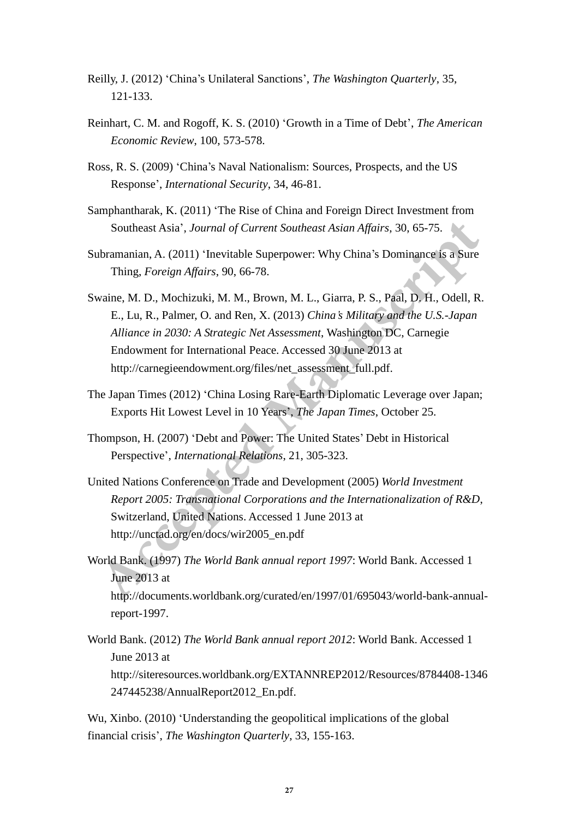- Reilly, J. (2012) 'China's Unilateral Sanctions', *The Washington Quarterly*, 35, 121-133.
- Reinhart, C. M. and Rogoff, K. S. (2010) 'Growth in a Time of Debt', *The American Economic Review*, 100, 573-578.
- Ross, R. S. (2009) 'China's Naval Nationalism: Sources, Prospects, and the US Response', *International Security*, 34, 46-81.
- Samphantharak, K. (2011) 'The Rise of China and Foreign Direct Investment from Southeast Asia', *Journal of Current Southeast Asian Affairs*, 30, 65-75.
- Subramanian, A. (2011) 'Inevitable Superpower: Why China's Dominance is a Sure Thing, *Foreign Affairs*, 90, 66-78.
- Reinhart, C. M. and Rogoff, K. S. (2010) 'Growth in a Time of Debt', *The American*<br>Economic Review, 100, 573-578.<br>
Hosss, R. S. (2009) 'Chinni Nanuscripton's Sources, Prospects, and the US<br>
Rosss, R. S. (2010) 'Chinni Nan Swaine, M. D., Mochizuki, M. M., Brown, M. L., Giarra, P. S., Paal, D. H., Odell, R. E., Lu, R., Palmer, O. and Ren, X. (2013) *China's Military and the U.S.-Japan Alliance in 2030: A Strategic Net Assessment*, Washington DC, Carnegie Endowment for International Peace. Accessed 30 June 2013 at http://carnegieendowment.org/files/net\_assessment\_full.pdf.
	- The Japan Times (2012) 'China Losing Rare-Earth Diplomatic Leverage over Japan; Exports Hit Lowest Level in 10 Years', *The Japan Times*, October 25.
	- Thompson, H. (2007) 'Debt and Power: The United States' Debt in Historical Perspective', *International Relations*, 21, 305-323.
	- United Nations Conference on Trade and Development (2005) *World Investment Report 2005: Transnational Corporations and the Internationalization of R&D*, Switzerland, United Nations. Accessed 1 June 2013 at http://unctad.org/en/docs/wir2005\_en.pdf
	- World Bank. (1997) *The World Bank annual report 1997*: World Bank. Accessed 1 June 2013 at http://documents.worldbank.org/curated/en/1997/01/695043/world-bank-annualreport-1997.
	- World Bank. (2012) *The World Bank annual report 2012*: World Bank. Accessed 1 June 2013 at http://siteresources.worldbank.org/EXTANNREP2012/Resources/8784408-1346 247445238/AnnualReport2012\_En.pdf.

Wu, Xinbo. (2010) 'Understanding the geopolitical implications of the global financial crisis', *The Washington Quarterly*, 33, 155-163.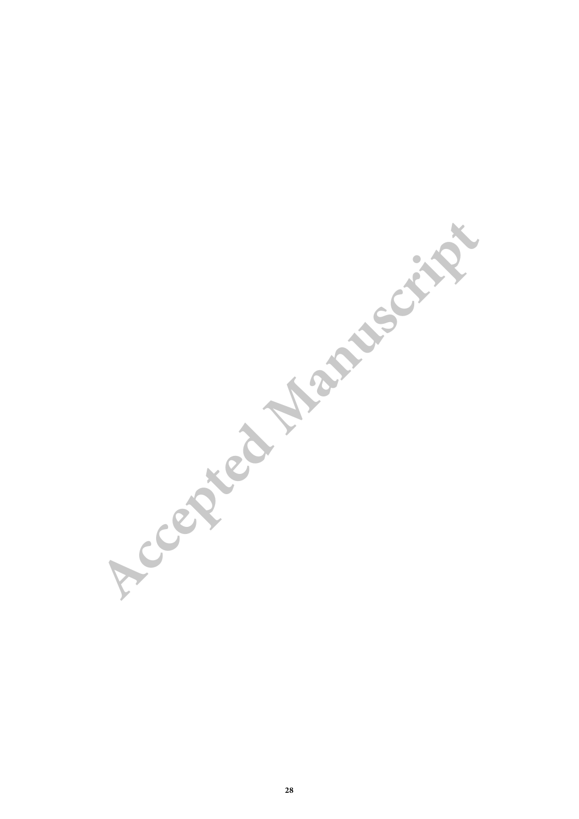**Accepted Manuscript**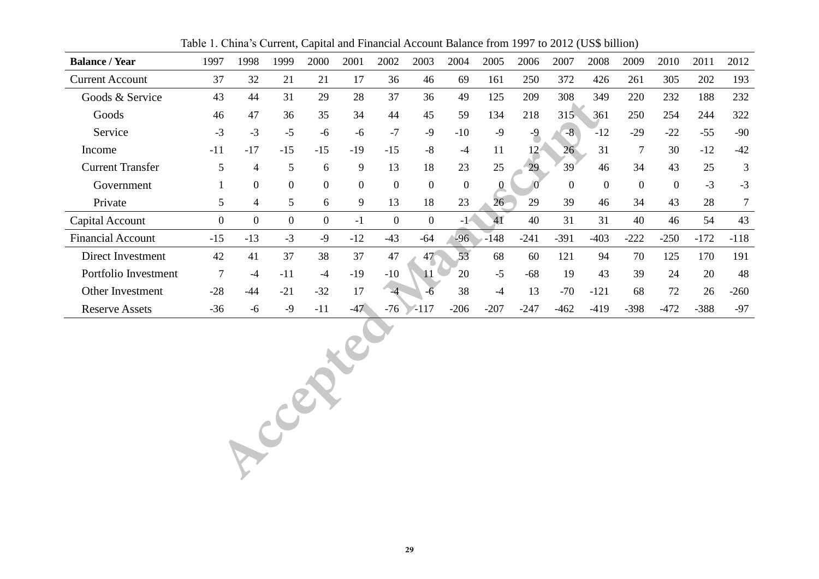| <b>Balance / Year</b>    | 1997         | 1998           | 1999             | 2000             | 2001           | 2002           | 2003             | 2004             | 2005   | 2006   | 2007     | 2008           | 2009           | 2010             | 2011   | 2012           |
|--------------------------|--------------|----------------|------------------|------------------|----------------|----------------|------------------|------------------|--------|--------|----------|----------------|----------------|------------------|--------|----------------|
| <b>Current Account</b>   | 37           | 32             | 21               | 21               | 17             | 36             | 46               | 69               | 161    | 250    | 372      | 426            | 261            | 305              | 202    | 193            |
| Goods & Service          | 43           | 44             | 31               | 29               | 28             | 37             | 36               | 49               | 125    | 209    | 308      | 349            | 220            | 232              | 188    | 232            |
| Goods                    | 46           | 47             | 36               | 35               | 34             | 44             | 45               | 59               | 134    | 218    | 315      | 361            | 250            | 254              | 244    | 322            |
| Service                  | $-3$         | $-3$           | $-5$             | $-6$             | $-6$           | $-7$           | $-9$             | $-10$            | $-9$   | $-9$   | $-8$     | $-12$          | $-29$          | $-22$            | $-55$  | $-90$          |
| Income                   | $-11$        | $-17$          | $-15$            | $-15$            | $-19$          | $-15$          | $-8$             | $-4$             | 11     | 12     | 26       | 31             | $\overline{7}$ | 30               | $-12$  | $-42$          |
| <b>Current Transfer</b>  | 5            | 4              | 5                | 6                | 9              | 13             | 18               | 23               | 25     | 29     | 39       | 46             | 34             | 43               | 25     | 3              |
| Government               |              | $\overline{0}$ | $\boldsymbol{0}$ | $\boldsymbol{0}$ | $\overline{0}$ | $\overline{0}$ | $\overline{0}$   | $\boldsymbol{0}$ |        |        | $\Omega$ | $\overline{0}$ | $\overline{0}$ | $\boldsymbol{0}$ | $-3$   | $-3$           |
| Private                  | 5            | 4              | 5                | 6                | 9              | 13             | 18               | 23               | $26 -$ | 29     | 39       | 46             | 34             | 43               | 28     | $\overline{7}$ |
| Capital Account          | $\mathbf{0}$ | $\mathbf{0}$   | $\mathbf{0}$     | $\overline{0}$   | $-1$           | $\overline{0}$ | $\boldsymbol{0}$ | $-1$             | 41     | 40     | 31       | 31             | 40             | 46               | 54     | 43             |
| <b>Financial Account</b> | $-15$        | $-13$          | $-3$             | $-9$             | $-12$          | $-43$          | $-64$            | $-96$            | $-148$ | $-241$ | $-391$   | $-403$         | $-222$         | $-250$           | $-172$ | $-118$         |
| Direct Investment        | 42           | 41             | 37               | 38               | 37             | 47             | 47               | 53               | 68     | 60     | 121      | 94             | 70             | 125              | 170    | 191            |
| Portfolio Investment     | 7            | $-4$           | $-11$            | $-4$             | $-19$          | $-10$          | 11               | 20               | $-5$   | $-68$  | 19       | 43             | 39             | 24               | 20     | 48             |
| <b>Other Investment</b>  | $-28$        | $-44$          | $-21$            | $-32$            | 17             | $-4$           |                  | 38               | -4     | 13     | $-70$    | $-121$         | 68             | 72               | 26     | $-260$         |
| <b>Reserve Assets</b>    | $-36$        | -6             | $-9$             | $-11$            | $-47$          | $-76$          | $-117$           | $-206$           | $-207$ | $-247$ | $-462$   | $-419$         | $-398$         | $-472$           | $-388$ | $-97$          |

Table 1. China's Current, Capital and Financial Account Balance from 1997 to 2012 (US\$ billion)

**Accepted**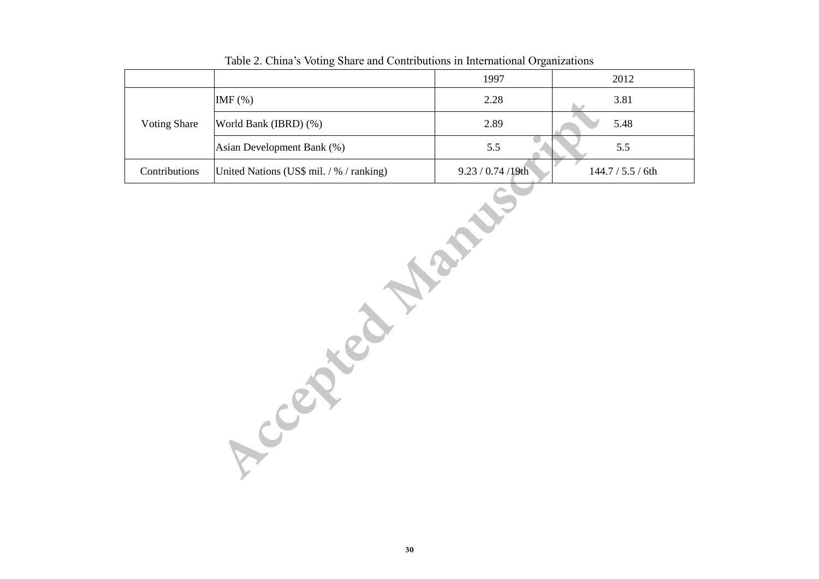|                     | Table 2. China's Voting Share and Contributions in International Organizations     |      |      |  |  |  |  |  |  |  |
|---------------------|------------------------------------------------------------------------------------|------|------|--|--|--|--|--|--|--|
|                     | 1997<br>2012                                                                       |      |      |  |  |  |  |  |  |  |
|                     | IMF $(\%)$                                                                         | 2.28 | 3.81 |  |  |  |  |  |  |  |
| <b>Voting Share</b> | World Bank (IBRD) (%)                                                              | 2.89 | 5.48 |  |  |  |  |  |  |  |
|                     | Asian Development Bank (%)                                                         | 5.5  | 5.5  |  |  |  |  |  |  |  |
| Contributions       | 9.23 / 0.74 /19th<br>United Nations (US\$ mil. / % / ranking)<br>144.7 / 5.5 / 6th |      |      |  |  |  |  |  |  |  |
|                     | Center                                                                             |      |      |  |  |  |  |  |  |  |

Table 2. China's Voting Share and Contributions in International Organizations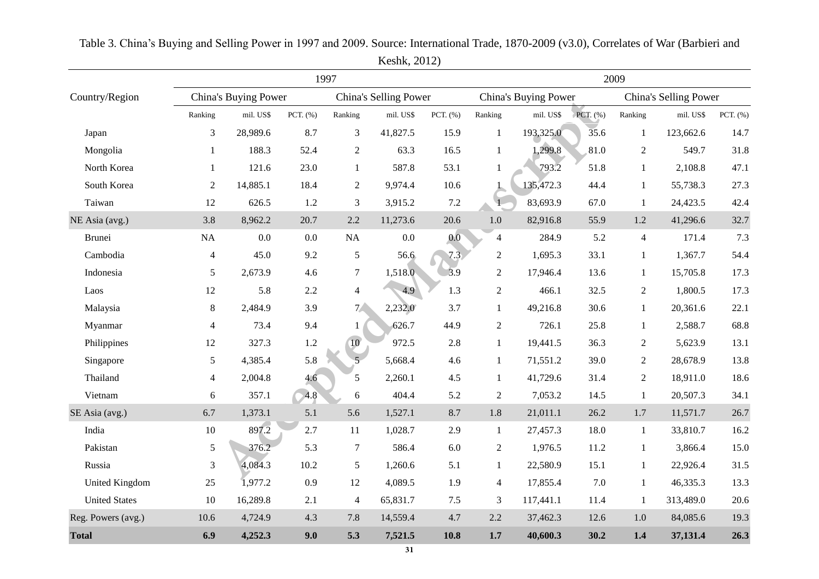|                       |                |                      |          |                  | Keshk, 2012)          |          |                  |                      |          |                |                       |          |
|-----------------------|----------------|----------------------|----------|------------------|-----------------------|----------|------------------|----------------------|----------|----------------|-----------------------|----------|
|                       |                |                      |          | 1997             |                       | 2009     |                  |                      |          |                |                       |          |
| Country/Region        |                | China's Buying Power |          |                  | China's Selling Power |          |                  | China's Buying Power |          |                | China's Selling Power |          |
|                       | Ranking        | mil. US\$            | PCT. (%) | Ranking          | mil. US\$             | PCT. (%) | Ranking          | mil. US\$            | PCT. (%) | Ranking        | mil. US\$             | PCT. (%) |
| Japan                 | 3              | 28,989.6             | 8.7      | 3                | 41,827.5              | 15.9     | 1                | 193,325.0            | 35.6     | 1              | 123,662.6             | 14.7     |
| Mongolia              | 1              | 188.3                | 52.4     | $\boldsymbol{2}$ | 63.3                  | 16.5     | 1                | 1,299.8              | 81.0     | $\overline{2}$ | 549.7                 | 31.8     |
| North Korea           | 1              | 121.6                | 23.0     | 1                | 587.8                 | 53.1     |                  | 793.2                | 51.8     | $\mathbf{1}$   | 2,108.8               | 47.1     |
| South Korea           | $\overline{2}$ | 14,885.1             | 18.4     | $\overline{2}$   | 9,974.4               | 10.6     |                  | 135,472.3            | 44.4     | 1              | 55,738.3              | 27.3     |
| Taiwan                | 12             | 626.5                | 1.2      | 3                | 3,915.2               | $7.2\,$  |                  | 83,693.9             | 67.0     | 1              | 24,423.5              | 42.4     |
| NE Asia (avg.)        | 3.8            | 8,962.2              | 20.7     | 2.2              | 11,273.6              | 20.6     | 1.0              | 82,916.8             | 55.9     | 1.2            | 41,296.6              | 32.7     |
| Brunei                | NA             | 0.0                  | 0.0      | NA               | $0.0\,$               | 0.0      | 4                | 284.9                | 5.2      | $\overline{4}$ | 171.4                 | 7.3      |
| Cambodia              | 4              | 45.0                 | 9.2      | 5                | 56.6                  | 7.3      | $\boldsymbol{2}$ | 1,695.3              | 33.1     | 1              | 1,367.7               | 54.4     |
| Indonesia             | 5              | 2,673.9              | 4.6      | 7                | 1,518.0               | 3.9      | $\overline{2}$   | 17,946.4             | 13.6     | 1              | 15,705.8              | 17.3     |
| Laos                  | 12             | 5.8                  | $2.2\,$  | 4                | 4.9                   | 1.3      | $\boldsymbol{2}$ | 466.1                | 32.5     | $\overline{2}$ | 1,800.5               | 17.3     |
| Malaysia              | 8              | 2,484.9              | 3.9      | 7 <sub>o</sub>   | 2,232.0               | 3.7      | 1                | 49,216.8             | 30.6     | 1              | 20,361.6              | 22.1     |
| Myanmar               | 4              | 73.4                 | 9.4      | 1                | 626.7                 | 44.9     | 2                | 726.1                | 25.8     | 1              | 2,588.7               | 68.8     |
| Philippines           | 12             | 327.3                | 1.2      | 10               | 972.5                 | 2.8      | 1                | 19,441.5             | 36.3     | 2              | 5,623.9               | 13.1     |
| Singapore             | 5              | 4,385.4              | 5.8      |                  | 5,668.4               | 4.6      | 1                | 71,551.2             | 39.0     | $\overline{2}$ | 28,678.9              | 13.8     |
| Thailand              | 4              | 2,004.8              | 4.6      | 5                | 2,260.1               | 4.5      | 1                | 41,729.6             | 31.4     | $\overline{2}$ | 18,911.0              | 18.6     |
| Vietnam               | 6              | 357.1                | $-4.8$   | 6                | 404.4                 | 5.2      | $\overline{c}$   | 7,053.2              | 14.5     | 1              | 20,507.3              | 34.1     |
| SE Asia (avg.)        | 6.7            | 1,373.1              | 5.1      | 5.6              | 1,527.1               | 8.7      | 1.8              | 21,011.1             | 26.2     | 1.7            | 11,571.7              | 26.7     |
| India                 | $10\,$         | 897.2                | 2.7      | 11               | 1,028.7               | $2.9\,$  |                  | 27,457.3             | 18.0     | 1              | 33,810.7              | $16.2\,$ |
| Pakistan              | 5              | 376.2                | 5.3      | $\boldsymbol{7}$ | 586.4                 | $6.0\,$  | 2                | 1,976.5              | 11.2     | $\mathbf{1}$   | 3,866.4               | 15.0     |
| Russia                | 3              | 4,084.3              | 10.2     | 5                | 1,260.6               | 5.1      | 1                | 22,580.9             | 15.1     | $\mathbf{1}$   | 22,926.4              | 31.5     |
| <b>United Kingdom</b> | $25\,$         | 1,977.2              | 0.9      | 12               | 4,089.5               | 1.9      | 4                | 17,855.4             | 7.0      | $\mathbf{1}$   | 46,335.3              | 13.3     |
| <b>United States</b>  | 10             | 16,289.8             | 2.1      | 4                | 65,831.7              | $7.5$    | 3                | 117,441.1            | 11.4     | 1              | 313,489.0             | 20.6     |
| Reg. Powers (avg.)    | 10.6           | 4,724.9              | 4.3      | 7.8              | 14,559.4              | 4.7      | $2.2\,$          | 37,462.3             | 12.6     | $1.0\,$        | 84,085.6              | 19.3     |
| <b>Total</b>          | 6.9            | 4,252.3              | 9.0      | 5.3              | 7,521.5               | 10.8     | 1.7              | 40,600.3             | 30.2     | 1.4            | 37,131.4              | 26.3     |

Table 3. China's Buying and Selling Power in 1997 and 2009. Source: International Trade, 1870-2009 (v3.0), Correlates of War (Barbieri and

Keshk, 2012)